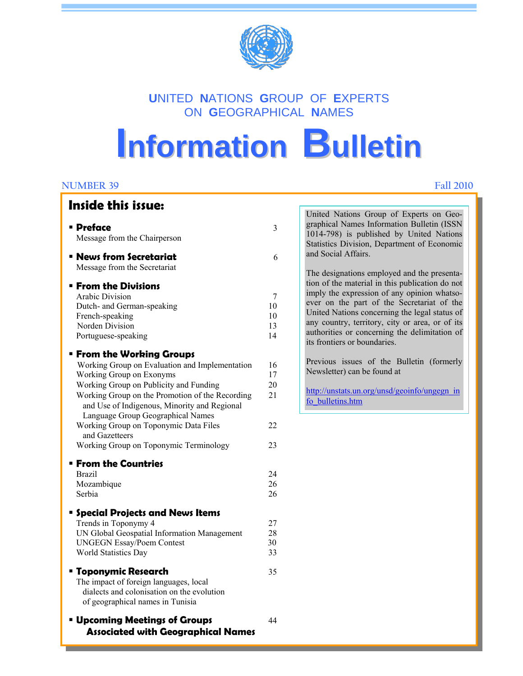

# **U**NITED **N**ATIONS **G**ROUP OF **E**XPERTS ON **G**EOGRAPHICAL **N**AMES

# **Information Bulletin**

Ī

#### **NUMBER 39 Fall 2010**

### **Inside this issue:**

United Nations Group of Experts on Geographical Names Information Bulletin (ISSN 1014-798) is published by United Nations Statistics Division, Department of Economic

The designations employed and the presentation of the material in this publication do not imply the expression of any opinion whatsoever on the part of the Secretariat of the United Nations concerning the legal status of any country, territory, city or area, or of its authorities or concerning the delimitation of

Previous issues of the Bulletin (formerly

http://unstats.un.org/unsd/geoinfo/ungegn\_in

and Social Affairs.

its frontiers or boundaries.

Newsletter) can be found at

fo\_bulletins.htm

| <b>Preface</b>                                                      | 3        |
|---------------------------------------------------------------------|----------|
| Message from the Chairperson                                        |          |
| • News from Secretariat                                             | 6        |
| Message from the Secretariat                                        |          |
| <b>Erom the Divisions</b>                                           |          |
| <b>Arabic Division</b>                                              | 7        |
| Dutch- and German-speaking                                          | 10       |
| French-speaking                                                     | 10       |
| Norden Division                                                     | 13       |
| Portuguese-speaking                                                 | 14       |
| <b>From the Working Groups</b>                                      |          |
| Working Group on Evaluation and Implementation                      | 16       |
| Working Group on Exonyms                                            | 17       |
| Working Group on Publicity and Funding                              | 20       |
| Working Group on the Promotion of the Recording                     | 21       |
| and Use of Indigenous, Minority and Regional                        |          |
| Language Group Geographical Names                                   |          |
| Working Group on Toponymic Data Files                               | 22       |
| and Gazetteers                                                      |          |
| Working Group on Toponymic Terminology                              | 23       |
| <b>Erom the Countries</b>                                           |          |
| <b>Brazil</b>                                                       | 24       |
| Mozambique                                                          | 26       |
| Serbia                                                              | 26       |
|                                                                     |          |
| <b>Special Projects and News Items</b>                              |          |
| Trends in Toponymy 4<br>UN Global Geospatial Information Management | 27<br>28 |
| <b>UNGEGN Essay/Poem Contest</b>                                    | 30       |
| World Statistics Day                                                | 33       |
|                                                                     |          |
| " Toponymic Research                                                | 35       |
| The impact of foreign languages, local                              |          |
| dialects and colonisation on the evolution                          |          |
| of geographical names in Tunisia                                    |          |
| <b>Upcoming Meetings of Groups</b>                                  | 44       |
| <b>Associated with Geographical Names</b>                           |          |
|                                                                     |          |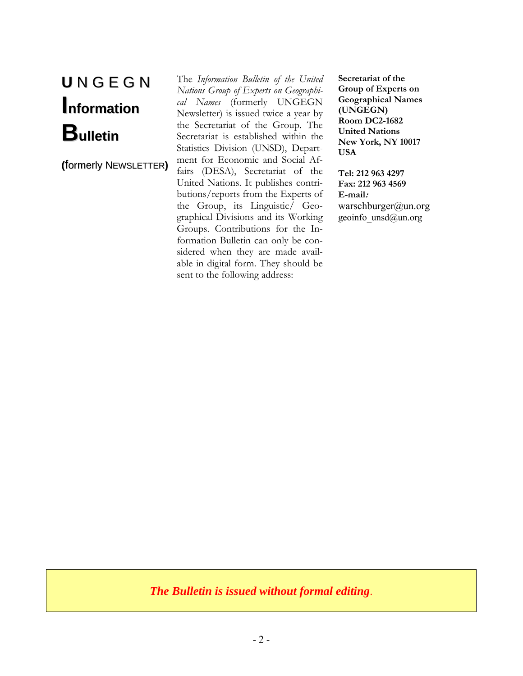# **U** N G E G N **Information Bulletin**

**(**formerly NEWSLETTER**)**

The *Information Bulletin of the United Nations Group of Experts on Geographical Names* (formerly UNGEGN Newsletter) is issued twice a year by the Secretariat of the Group. The Secretariat is established within the Statistics Division (UNSD), Department for Economic and Social Affairs (DESA), Secretariat of the United Nations. It publishes contributions/reports from the Experts of the Group, its Linguistic/ Geographical Divisions and its Working Groups. Contributions for the Information Bulletin can only be considered when they are made available in digital form. They should be sent to the following address:

**Secretariat of the Group of Experts on Geographical Names (UNGEGN) Room DC2-1682 United Nations New York, NY 10017 USA** 

**Tel: 212 963 4297 Fax: 212 963 4569 E-mail:** warschburger@un.org geoinfo $\text{unsd}(\hat{\omega})$ un.org

*The Bulletin is issued without formal editing*.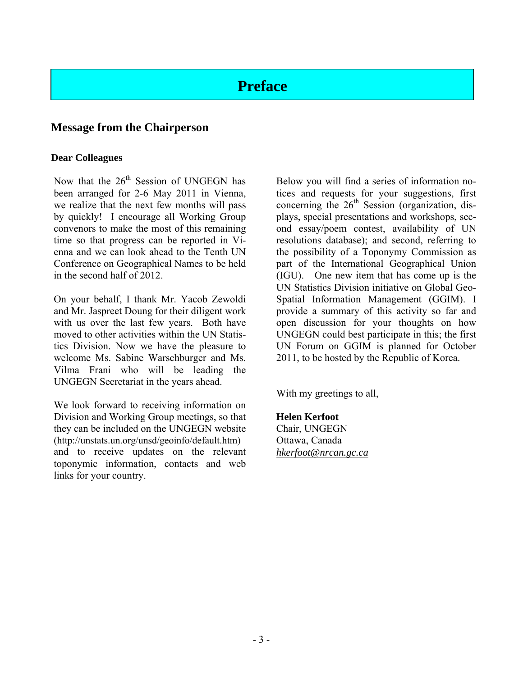# **Preface**

### **Message from the Chairperson**

#### **Dear Colleagues**

Now that the  $26<sup>th</sup>$  Session of UNGEGN has been arranged for 2-6 May 2011 in Vienna, we realize that the next few months will pass by quickly! I encourage all Working Group convenors to make the most of this remaining time so that progress can be reported in Vienna and we can look ahead to the Tenth UN Conference on Geographical Names to be held in the second half of 2012.

On your behalf, I thank Mr. Yacob Zewoldi and Mr. Jaspreet Doung for their diligent work with us over the last few years. Both have moved to other activities within the UN Statistics Division. Now we have the pleasure to welcome Ms. Sabine Warschburger and Ms. Vilma Frani who will be leading the UNGEGN Secretariat in the years ahead.

We look forward to receiving information on Division and Working Group meetings, so that they can be included on the UNGEGN website (http://unstats.un.org/unsd/geoinfo/default.htm) and to receive updates on the relevant toponymic information, contacts and web links for your country.

Below you will find a series of information notices and requests for your suggestions, first concerning the  $26<sup>th</sup>$  Session (organization, displays, special presentations and workshops, second essay/poem contest, availability of UN resolutions database); and second, referring to the possibility of a Toponymy Commission as part of the International Geographical Union (IGU). One new item that has come up is the UN Statistics Division initiative on Global Geo-Spatial Information Management (GGIM). I provide a summary of this activity so far and open discussion for your thoughts on how UNGEGN could best participate in this; the first UN Forum on GGIM is planned for October 2011, to be hosted by the Republic of Korea.

With my greetings to all,

#### **Helen Kerfoot**

Chair, UNGEGN Ottawa, Canada *hkerfoot@nrcan.gc.ca*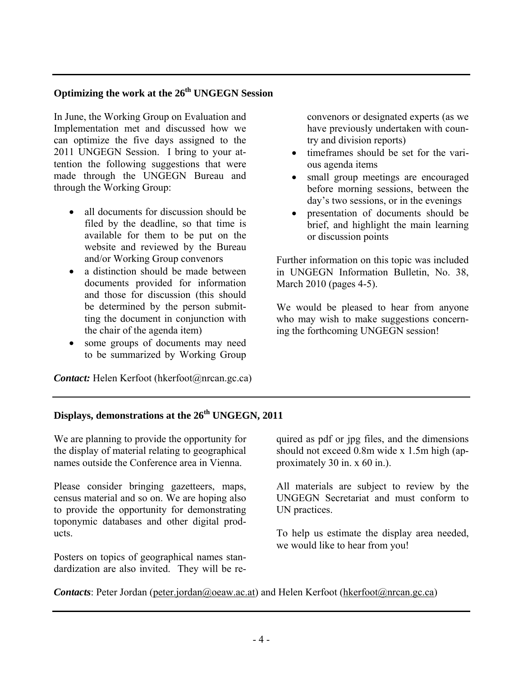### **Optimizing the work at the 26th UNGEGN Session**

In June, the Working Group on Evaluation and Implementation met and discussed how we can optimize the five days assigned to the 2011 UNGEGN Session. I bring to your attention the following suggestions that were made through the UNGEGN Bureau and through the Working Group:

- all documents for discussion should be filed by the deadline, so that time is available for them to be put on the website and reviewed by the Bureau and/or Working Group convenors
- a distinction should be made between documents provided for information and those for discussion (this should be determined by the person submitting the document in conjunction with the chair of the agenda item)
- some groups of documents may need to be summarized by Working Group

*Contact:* Helen Kerfoot (hkerfoot *(a*) nrcan.gc.ca)

convenors or designated experts (as we have previously undertaken with country and division reports)

- timeframes should be set for the various agenda items
- small group meetings are encouraged before morning sessions, between the day's two sessions, or in the evenings
- presentation of documents should be brief, and highlight the main learning or discussion points

Further information on this topic was included in UNGEGN Information Bulletin, No. 38, March 2010 (pages 4-5).

We would be pleased to hear from anyone who may wish to make suggestions concerning the forthcoming UNGEGN session!

### **Displays, demonstrations at the 26th UNGEGN, 2011**

We are planning to provide the opportunity for the display of material relating to geographical names outside the Conference area in Vienna.

Please consider bringing gazetteers, maps, census material and so on. We are hoping also to provide the opportunity for demonstrating toponymic databases and other digital products.

Posters on topics of geographical names standardization are also invited. They will be re-

quired as pdf or jpg files, and the dimensions should not exceed 0.8m wide x 1.5m high (approximately 30 in. x 60 in.).

All materials are subject to review by the UNGEGN Secretariat and must conform to UN practices.

To help us estimate the display area needed, we would like to hear from you!

*Contacts*: Peter Jordan (peter.jordan@oeaw.ac.at) and Helen Kerfoot (hkerfoot@nrcan.gc.ca)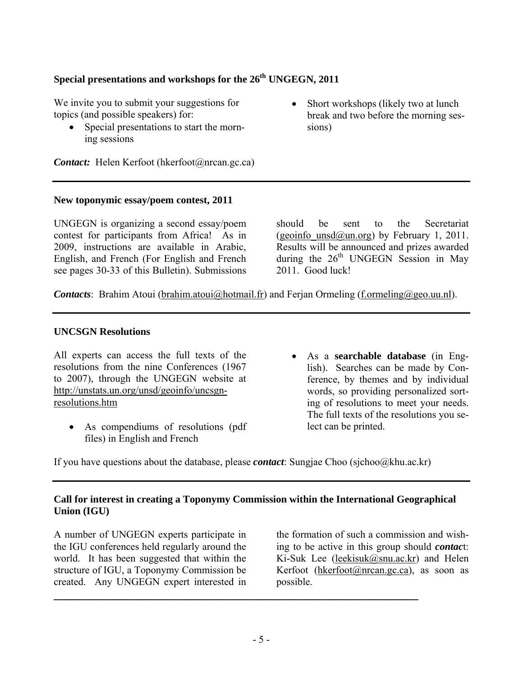### **Special presentations and workshops for the 26th UNGEGN, 2011**

We invite you to submit your suggestions for topics (and possible speakers) for:

- Special presentations to start the morning sessions
- Short workshops (likely two at lunch break and two before the morning sessions)

*Contact:* Helen Kerfoot (hkerfoot@nrcan.gc.ca)

#### **New toponymic essay/poem contest, 2011**

UNGEGN is organizing a second essay/poem contest for participants from Africa! As in 2009, instructions are available in Arabic, English, and French (For English and French see pages 30-33 of this Bulletin). Submissions

should be sent to the Secretariat (geoinfo\_unsd $@$ un.org) by February 1, 2011. Results will be announced and prizes awarded during the  $26<sup>th</sup>$  UNGEGN Session in May 2011 Good luck!

*Contacts*: Brahim Atoui (brahim.atoui@hotmail.fr) and Ferjan Ormeling (f.ormeling@geo.uu.nl).

#### **UNCSGN Resolutions**

All experts can access the full texts of the resolutions from the nine Conferences (1967 to 2007), through the UNGEGN website at http://unstats.un.org/unsd/geoinfo/uncsgnresolutions.htm

- As compendiums of resolutions (pdf files) in English and French
- As a **searchable database** (in English). Searches can be made by Conference, by themes and by individual words, so providing personalized sorting of resolutions to meet your needs. The full texts of the resolutions you select can be printed.

If you have questions about the database, please *contact*: Sungjae Choo (sjchoo@khu.ac.kr)

**\_\_\_\_\_\_\_\_\_\_\_\_\_\_\_\_\_\_\_\_\_\_\_\_\_\_\_\_\_\_\_\_\_\_\_\_\_\_\_\_\_\_\_\_\_\_\_\_\_\_\_\_\_\_\_\_\_\_\_\_\_**

#### **Call for interest in creating a Toponymy Commission within the International Geographical Union (IGU)**

A number of UNGEGN experts participate in the IGU conferences held regularly around the world. It has been suggested that within the structure of IGU, a Toponymy Commission be created. Any UNGEGN expert interested in

the formation of such a commission and wishing to be active in this group should *contac*t: Ki-Suk Lee (leekisuk@snu.ac.kr) and Helen Kerfoot (hkerfoot@nrcan.gc.ca), as soon as possible.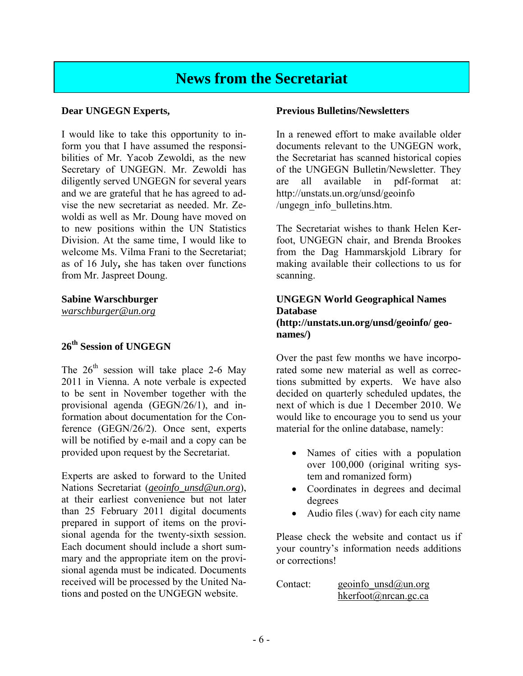# **News from the Secretariat**

#### **Dear UNGEGN Experts,**

I would like to take this opportunity to inform you that I have assumed the responsibilities of Mr. Yacob Zewoldi, as the new Secretary of UNGEGN. Mr. Zewoldi has diligently served UNGEGN for several years and we are grateful that he has agreed to advise the new secretariat as needed. Mr. Zewoldi as well as Mr. Doung have moved on to new positions within the UN Statistics Division. At the same time, I would like to welcome Ms. Vilma Frani to the Secretariat; as of 16 July**,** she has taken over functions from Mr. Jaspreet Doung.

### **Sabine Warschburger**

*warschburger@un.org* 

### **26th Session of UNGEGN**

The  $26<sup>th</sup>$  session will take place 2-6 May 2011 in Vienna. A note verbale is expected to be sent in November together with the provisional agenda (GEGN/26/1), and information about documentation for the Conference (GEGN/26/2). Once sent, experts will be notified by e-mail and a copy can be provided upon request by the Secretariat.

Experts are asked to forward to the United Nations Secretariat (*geoinfo\_unsd@un.org*), at their earliest convenience but not later than 25 February 2011 digital documents prepared in support of items on the provisional agenda for the twenty-sixth session. Each document should include a short summary and the appropriate item on the provisional agenda must be indicated. Documents received will be processed by the United Nations and posted on the UNGEGN website.

#### **Previous Bulletins/Newsletters**

In a renewed effort to make available older documents relevant to the UNGEGN work, the Secretariat has scanned historical copies of the UNGEGN Bulletin/Newsletter. They are all available in pdf-format at: http://unstats.un.org/unsd/geoinfo /ungegn\_info\_bulletins.htm.

The Secretariat wishes to thank Helen Kerfoot, UNGEGN chair, and Brenda Brookes from the Dag Hammarskjold Library for making available their collections to us for scanning.

#### **UNGEGN World Geographical Names Database (http://unstats.un.org/unsd/geoinfo/ geonames/)**

Over the past few months we have incorporated some new material as well as corrections submitted by experts. We have also decided on quarterly scheduled updates, the next of which is due 1 December 2010. We would like to encourage you to send us your material for the online database, namely:

- Names of cities with a population over 100,000 (original writing system and romanized form)
- Coordinates in degrees and decimal degrees
- Audio files (.wav) for each city name

Please check the website and contact us if your country's information needs additions or corrections!

| Contact: | geoinfo $\text{unsd}(\hat{\omega})$ un.org |
|----------|--------------------------------------------|
|          | hkerfoot@nrcan.gc.ca                       |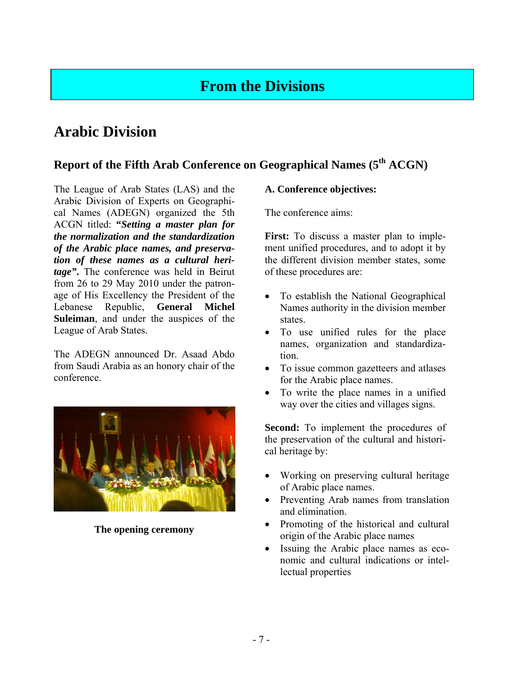# **From the Divisions**

# **Arabic Division**

### **Report of the Fifth Arab Conference on Geographical Names (5th ACGN)**

The League of Arab States (LAS) and the Arabic Division of Experts on Geographical Names (ADEGN) organized the 5th ACGN titled: **"***Setting a master plan for the normalization and the standardization of the Arabic place names, and preservation of these names as a cultural heritage"***.** The conference was held in Beirut from 26 to 29 May 2010 under the patronage of His Excellency the President of the Lebanese Republic, **General Michel Suleiman**, and under the auspices of the League of Arab States.

The ADEGN announced Dr. Asaad Abdo from Saudi Arabia as an honory chair of the conference.



**The opening ceremony** 

### **A. Conference objectives:**

The conference aims:

**First:** To discuss a master plan to implement unified procedures, and to adopt it by the different division member states, some of these procedures are:

- To establish the National Geographical Names authority in the division member states.
- To use unified rules for the place names, organization and standardization.
- To issue common gazetteers and atlases for the Arabic place names.
- To write the place names in a unified way over the cities and villages signs.

**Second:** To implement the procedures of the preservation of the cultural and historical heritage by:

- Working on preserving cultural heritage of Arabic place names.
- Preventing Arab names from translation and elimination.
- Promoting of the historical and cultural origin of the Arabic place names
- Issuing the Arabic place names as economic and cultural indications or intellectual properties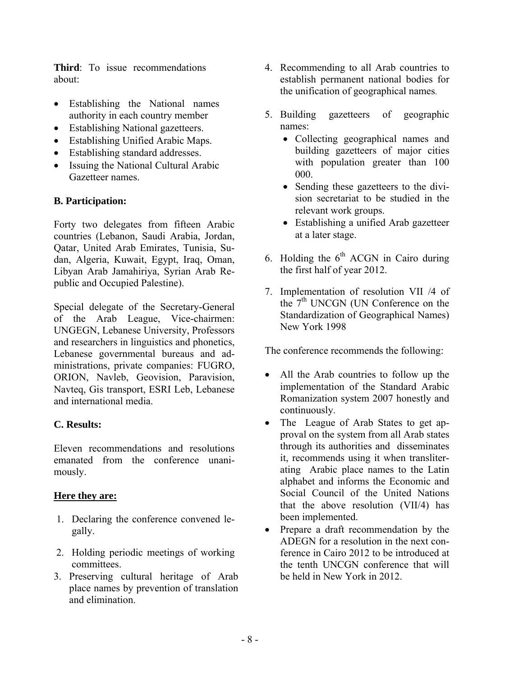**Third**: To issue recommendations about:

- Establishing the National names authority in each country member
- Establishing National gazetteers.
- Establishing Unified Arabic Maps.
- Establishing standard addresses.
- Issuing the National Cultural Arabic Gazetteer names.

### **B. Participation:**

Forty two delegates from fifteen Arabic countries (Lebanon, Saudi Arabia, Jordan, Qatar, United Arab Emirates, Tunisia, Sudan, Algeria, Kuwait, Egypt, Iraq, Oman, Libyan Arab Jamahiriya, Syrian Arab Republic and Occupied Palestine).

Special delegate of the Secretary-General of the Arab League, Vice-chairmen: UNGEGN, Lebanese University, Professors and researchers in linguistics and phonetics, Lebanese governmental bureaus and administrations, private companies: FUGRO, ORION, Navleb, Geovision, Paravision, Navteq, Gis transport, ESRI Leb, Lebanese and international media.

### **C. Results:**

Eleven recommendations and resolutions emanated from the conference unanimously.

### **Here they are:**

- 1. Declaring the conference convened legally.
- 2. Holding periodic meetings of working committees.
- 3. Preserving cultural heritage of Arab place names by prevention of translation and elimination.
- 4. Recommending to all Arab countries to establish permanent national bodies for the unification of geographical names.
- 5. Building gazetteers of geographic names:
	- Collecting geographical names and building gazetteers of major cities with population greater than 100 000.
	- Sending these gazetteers to the division secretariat to be studied in the relevant work groups.
	- Establishing a unified Arab gazetteer at a later stage.
- 6. Holding the  $6<sup>th</sup>$  ACGN in Cairo during the first half of year 2012.
- 7. Implementation of resolution VII /4 of the  $7<sup>th</sup>$  UNCGN (UN Conference on the Standardization of Geographical Names) New York 1998

The conference recommends the following:

- All the Arab countries to follow up the implementation of the Standard Arabic Romanization system 2007 honestly and continuously.
- The League of Arab States to get approval on the system from all Arab states through its authorities and disseminates it, recommends using it when transliterating Arabic place names to the Latin alphabet and informs the Economic and Social Council of the United Nations that the above resolution (VII/4) has been implemented.
- Prepare a draft recommendation by the ADEGN for a resolution in the next conference in Cairo 2012 to be introduced at the tenth UNCGN conference that will be held in New York in 2012.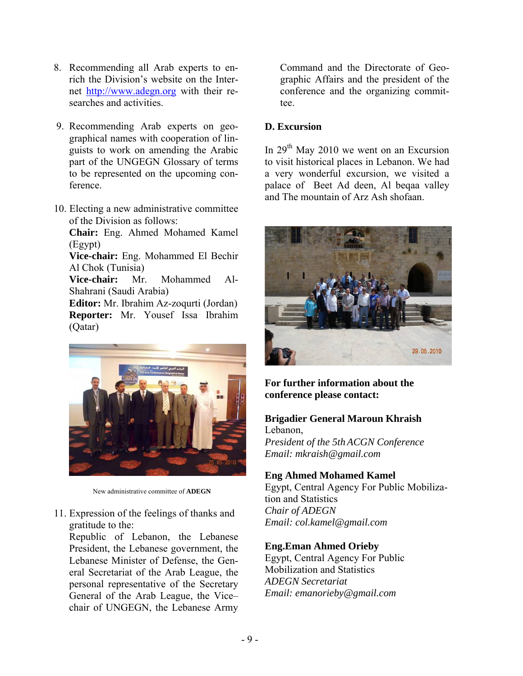- 8. Recommending all Arab experts to enrich the Division's website on the Internet http://www.adegn.org with their researches and activities.
- 9. Recommending Arab experts on geographical names with cooperation of linguists to work on amending the Arabic part of the UNGEGN Glossary of terms to be represented on the upcoming conference.
- 10. Electing a new administrative committee of the Division as follows:

**Chair:** Eng. Ahmed Mohamed Kamel (Egypt)

**Vice-chair:** Eng. Mohammed El Bechir Al Chok (Tunisia)

**Vice-chair:** Mr. Mohammed Al-Shahrani (Saudi Arabia)

**Editor:** Mr. Ibrahim Az-zoqurti (Jordan) **Reporter:** Mr. Yousef Issa Ibrahim (Qatar)



New administrative committee of **ADEGN** 

11. Expression of the feelings of thanks and gratitude to the:

Republic of Lebanon, the Lebanese President, the Lebanese government, the Lebanese Minister of Defense, the General Secretariat of the Arab League, the personal representative of the Secretary General of the Arab League, the Vice– chair of UNGEGN, the Lebanese Army

Command and the Directorate of Geographic Affairs and the president of the conference and the organizing committee.

### **D. Excursion**

In  $29<sup>th</sup>$  May 2010 we went on an Excursion to visit historical places in Lebanon. We had a very wonderful excursion, we visited a palace of Beet Ad deen, Al beqaa valley and The mountain of Arz Ash shofaan.



**For further information about the conference please contact:** 

### **Brigadier General Maroun Khraish**

Lebanon, *President of the 5th ACGN Conference Email: mkraish@gmail.com* 

### **Eng Ahmed Mohamed Kamel**

Egypt, Central Agency For Public Mobilization and Statistics *Chair of ADEGN Email: col.kamel@gmail.com*

### **Eng.Eman Ahmed Orieby**

Egypt, Central Agency For Public Mobilization and Statistics *ADEGN Secretariat Email: emanorieby@gmail.com*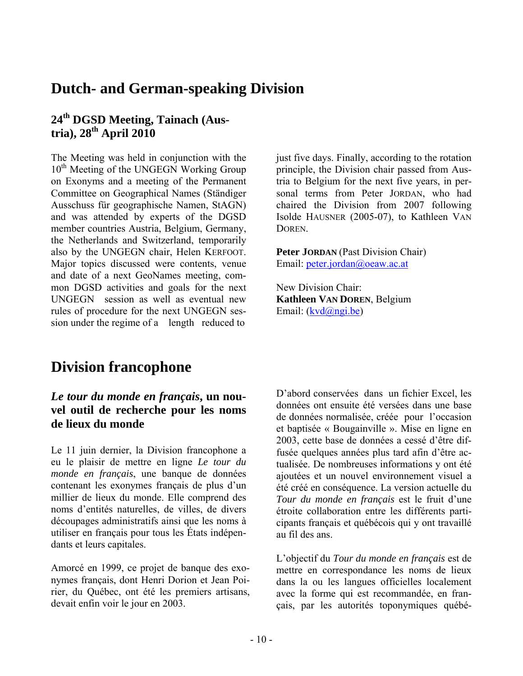# **Dutch- and German-speaking Division**

# **24th DGSD Meeting, Tainach (Austria), 28th April 2010**

The Meeting was held in conjunction with the 10<sup>th</sup> Meeting of the UNGEGN Working Group on Exonyms and a meeting of the Permanent Committee on Geographical Names (Ständiger Ausschuss für geographische Namen, StAGN) and was attended by experts of the DGSD member countries Austria, Belgium, Germany, the Netherlands and Switzerland, temporarily also by the UNGEGN chair, Helen KERFOOT. Major topics discussed were contents, venue and date of a next GeoNames meeting, common DGSD activities and goals for the next UNGEGN session as well as eventual new rules of procedure for the next UNGEGN session under the regime of a length reduced to

just five days. Finally, according to the rotation principle, the Division chair passed from Austria to Belgium for the next five years, in personal terms from Peter JORDAN, who had chaired the Division from 2007 following Isolde HAUSNER (2005-07), to Kathleen VAN **DOREN** 

**Peter JORDAN** (Past Division Chair) Email: peter.jordan@oeaw.ac.at

New Division Chair: **Kathleen VAN DOREN**, Belgium Email: (kvd@ngi.be)

# **Division francophone**

### *Le tour du monde en français***, un nouvel outil de recherche pour les noms de lieux du monde**

Le 11 juin dernier, la Division francophone a eu le plaisir de mettre en ligne *Le tour du monde en français*, une banque de données contenant les exonymes français de plus d'un millier de lieux du monde. Elle comprend des noms d'entités naturelles, de villes, de divers découpages administratifs ainsi que les noms à utiliser en français pour tous les États indépendants et leurs capitales.

Amorcé en 1999, ce projet de banque des exonymes français, dont Henri Dorion et Jean Poirier, du Québec, ont été les premiers artisans, devait enfin voir le jour en 2003.

D'abord conservées dans un fichier Excel, les données ont ensuite été versées dans une base de données normalisée, créée pour l'occasion et baptisée « Bougainville ». Mise en ligne en 2003, cette base de données a cessé d'être diffusée quelques années plus tard afin d'être actualisée. De nombreuses informations y ont été ajoutées et un nouvel environnement visuel a été créé en conséquence. La version actuelle du *Tour du monde en français* est le fruit d'une étroite collaboration entre les différents participants français et québécois qui y ont travaillé au fil des ans.

L'objectif du *Tour du monde en français* est de mettre en correspondance les noms de lieux dans la ou les langues officielles localement avec la forme qui est recommandée, en français, par les autorités toponymiques québé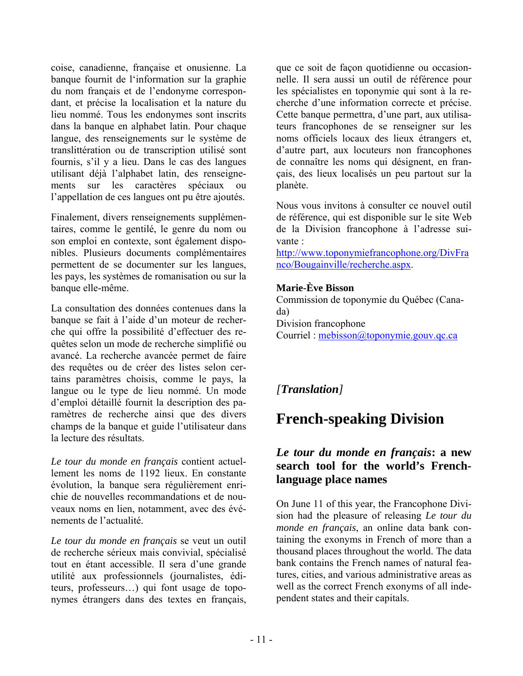coise, canadienne, française et onusienne. La banque fournit de l'information sur la graphie du nom français et de l'endonyme correspondant, et précise la localisation et la nature du lieu nommé. Tous les endonymes sont inscrits dans la banque en alphabet latin. Pour chaque langue, des renseignements sur le système de translittération ou de transcription utilisé sont fournis, s'il y a lieu. Dans le cas des langues utilisant déjà l'alphabet latin, des renseignements sur les caractères spéciaux ou l'appellation de ces langues ont pu être ajoutés.

Finalement, divers renseignements supplémentaires, comme le gentilé, le genre du nom ou son emploi en contexte, sont également disponibles. Plusieurs documents complémentaires permettent de se documenter sur les langues, les pays, les systèmes de romanisation ou sur la banque elle-même.

La consultation des données contenues dans la banque se fait à l'aide d'un moteur de recherche qui offre la possibilité d'effectuer des requêtes selon un mode de recherche simplifié ou avancé. La recherche avancée permet de faire des requêtes ou de créer des listes selon certains paramètres choisis, comme le pays, la langue ou le type de lieu nommé. Un mode d'emploi détaillé fournit la description des paramètres de recherche ainsi que des divers champs de la banque et guide l'utilisateur dans la lecture des résultats.

*Le tour du monde en français* contient actuellement les noms de 1192 lieux. En constante évolution, la banque sera régulièrement enrichie de nouvelles recommandations et de nouveaux noms en lien, notamment, avec des événements de l'actualité.

*Le tour du monde en français* se veut un outil de recherche sérieux mais convivial, spécialisé tout en étant accessible. Il sera d'une grande utilité aux professionnels (journalistes, éditeurs, professeurs…) qui font usage de toponymes étrangers dans des textes en français,

que ce soit de façon quotidienne ou occasionnelle. Il sera aussi un outil de référence pour les spécialistes en toponymie qui sont à la recherche d'une information correcte et précise. Cette banque permettra, d'une part, aux utilisateurs francophones de se renseigner sur les noms officiels locaux des lieux étrangers et, d'autre part, aux locuteurs non francophones de connaître les noms qui désignent, en français, des lieux localisés un peu partout sur la planète.

Nous vous invitons à consulter ce nouvel outil de référence, qui est disponible sur le site Web de la Division francophone à l'adresse suivante :

http://www.toponymiefrancophone.org/DivFra nco/Bougainville/recherche.aspx.

### **Marie-Ève Bisson**

Commission de toponymie du Québec (Canada) Division francophone Courriel : mebisson@toponymie.gouv.qc.ca

# *[Translation]*

# **French-speaking Division**

### *Le tour du monde en français***: a new search tool for the world's Frenchlanguage place names**

On June 11 of this year, the Francophone Division had the pleasure of releasing *Le tour du monde en français*, an online data bank containing the exonyms in French of more than a thousand places throughout the world. The data bank contains the French names of natural features, cities, and various administrative areas as well as the correct French exonyms of all independent states and their capitals.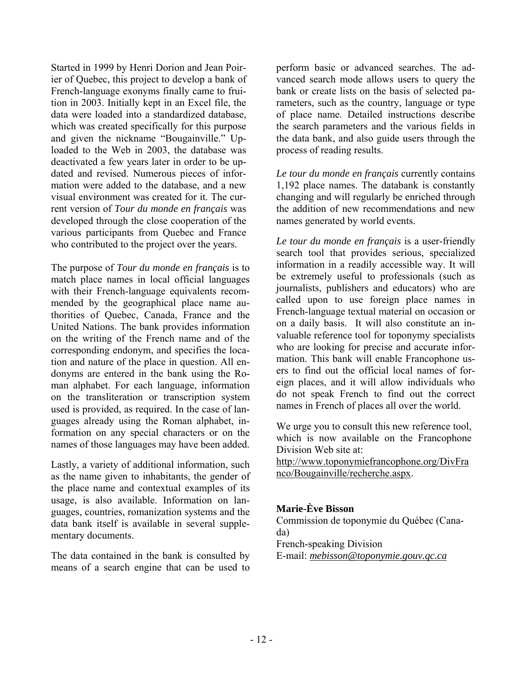Started in 1999 by Henri Dorion and Jean Poirier of Quebec, this project to develop a bank of French-language exonyms finally came to fruition in 2003. Initially kept in an Excel file, the data were loaded into a standardized database, which was created specifically for this purpose and given the nickname "Bougainville." Uploaded to the Web in 2003, the database was deactivated a few years later in order to be updated and revised. Numerous pieces of information were added to the database, and a new visual environment was created for it. The current version of *Tour du monde en français* was developed through the close cooperation of the various participants from Quebec and France who contributed to the project over the years.

The purpose of *Tour du monde en français* is to match place names in local official languages with their French-language equivalents recommended by the geographical place name authorities of Quebec, Canada, France and the United Nations. The bank provides information on the writing of the French name and of the corresponding endonym, and specifies the location and nature of the place in question. All endonyms are entered in the bank using the Roman alphabet. For each language, information on the transliteration or transcription system used is provided, as required. In the case of languages already using the Roman alphabet, information on any special characters or on the names of those languages may have been added.

Lastly, a variety of additional information, such as the name given to inhabitants, the gender of the place name and contextual examples of its usage, is also available. Information on languages, countries, romanization systems and the data bank itself is available in several supplementary documents.

The data contained in the bank is consulted by means of a search engine that can be used to

perform basic or advanced searches. The advanced search mode allows users to query the bank or create lists on the basis of selected parameters, such as the country, language or type of place name. Detailed instructions describe the search parameters and the various fields in the data bank, and also guide users through the process of reading results.

*Le tour du monde en français* currently contains 1,192 place names. The databank is constantly changing and will regularly be enriched through the addition of new recommendations and new names generated by world events.

*Le tour du monde en français* is a user-friendly search tool that provides serious, specialized information in a readily accessible way. It will be extremely useful to professionals (such as journalists, publishers and educators) who are called upon to use foreign place names in French-language textual material on occasion or on a daily basis. It will also constitute an invaluable reference tool for toponymy specialists who are looking for precise and accurate information. This bank will enable Francophone users to find out the official local names of foreign places, and it will allow individuals who do not speak French to find out the correct names in French of places all over the world.

We urge you to consult this new reference tool, which is now available on the Francophone Division Web site at:

http://www.toponymiefrancophone.org/DivFra nco/Bougainville/recherche.aspx.

### **Marie-Ève Bisson**

Commission de toponymie du Québec (Canada) French-speaking Division E-mail: *mebisson@toponymie.gouv.qc.ca*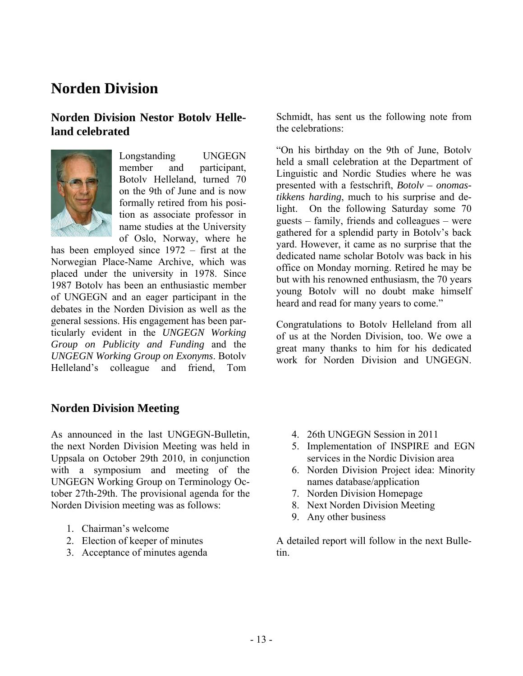# **Norden Division**

### **Norden Division Nestor Botolv Helleland celebrated**



Longstanding UNGEGN member and participant, Botolv Helleland, turned 70 on the 9th of June and is now formally retired from his position as associate professor in name studies at the University of Oslo, Norway, where he

has been employed since 1972 – first at the Norwegian Place-Name Archive, which was placed under the university in 1978. Since 1987 Botolv has been an enthusiastic member of UNGEGN and an eager participant in the debates in the Norden Division as well as the general sessions. His engagement has been particularly evident in the *UNGEGN Working Group on Publicity and Funding* and the *UNGEGN Working Group on Exonyms*. Botolv Helleland's colleague and friend, Tom

### **Norden Division Meeting**

As announced in the last UNGEGN-Bulletin, the next Norden Division Meeting was held in Uppsala on October 29th 2010, in conjunction with a symposium and meeting of the UNGEGN Working Group on Terminology October 27th-29th. The provisional agenda for the Norden Division meeting was as follows:

- 1. Chairman's welcome
- 2. Election of keeper of minutes
- 3. Acceptance of minutes agenda

Schmidt, has sent us the following note from the celebrations:

"On his birthday on the 9th of June, Botolv held a small celebration at the Department of Linguistic and Nordic Studies where he was presented with a festschrift, *Botolv – onomastikkens harding*, much to his surprise and delight. On the following Saturday some 70 guests – family, friends and colleagues – were gathered for a splendid party in Botolv's back yard. However, it came as no surprise that the dedicated name scholar Botolv was back in his office on Monday morning. Retired he may be but with his renowned enthusiasm, the 70 years young Botolv will no doubt make himself heard and read for many years to come."

Congratulations to Botolv Helleland from all of us at the Norden Division, too. We owe a great many thanks to him for his dedicated work for Norden Division and UNGEGN.

- 4. 26th UNGEGN Session in 2011
- 5. Implementation of INSPIRE and EGN services in the Nordic Division area
- 6. Norden Division Project idea: Minority names database/application
- 7. Norden Division Homepage
- 8. Next Norden Division Meeting
- 9. Any other business

A detailed report will follow in the next Bulletin.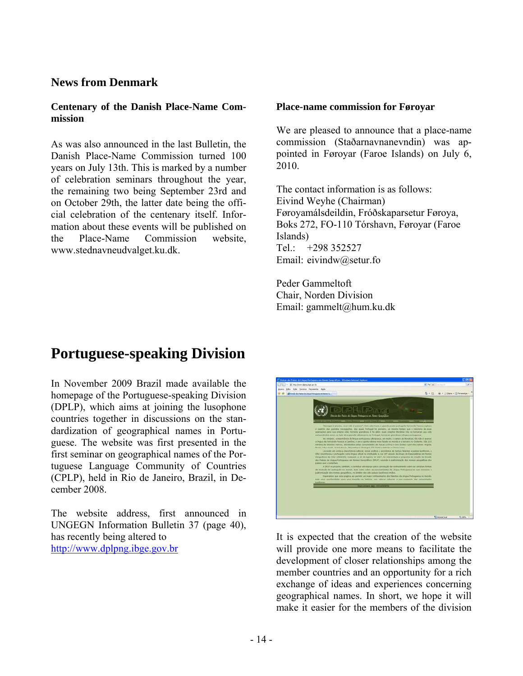### **News from Denmark**

#### **Centenary of the Danish Place-Name Commission**

As was also announced in the last Bulletin, the Danish Place-Name Commission turned 100 years on July 13th. This is marked by a number of celebration seminars throughout the year, the remaining two being September 23rd and on October 29th, the latter date being the official celebration of the centenary itself. Information about these events will be published on the Place-Name Commission website, www.stednavneudvalget.ku.dk.

#### **Place-name commission for Føroyar**

We are pleased to announce that a place-name commission (Staðarnavnanevndin) was appointed in Føroyar (Faroe Islands) on July 6, 2010.

The contact information is as follows: Eivind Weyhe (Chairman) Føroyamálsdeildin, Fróðskaparsetur Føroya, Boks 272, FO-110 Tórshavn, Føroyar (Faroe Islands) Tel.: +298 352527 Email: eivindw@setur.fo

Peder Gammeltoft Chair, Norden Division Email: gammelt@hum.ku.dk

# **Portuguese-speaking Division**

In November 2009 Brazil made available the homepage of the Portuguese-speaking Division (DPLP), which aims at joining the lusophone countries together in discussions on the standardization of geographical names in Portuguese. The website was first presented in the first seminar on geographical names of the Portuguese Language Community of Countries (CPLP), held in Rio de Janeiro, Brazil, in December 2008.

The website address, first announced in UNGEGN Information Bulletin 37 (page 40), has recently being altered to http://www.dplpng.ibge.gov.br



It is expected that the creation of the website will provide one more means to facilitate the development of closer relationships among the member countries and an opportunity for a rich exchange of ideas and experiences concerning geographical names. In short, we hope it will make it easier for the members of the division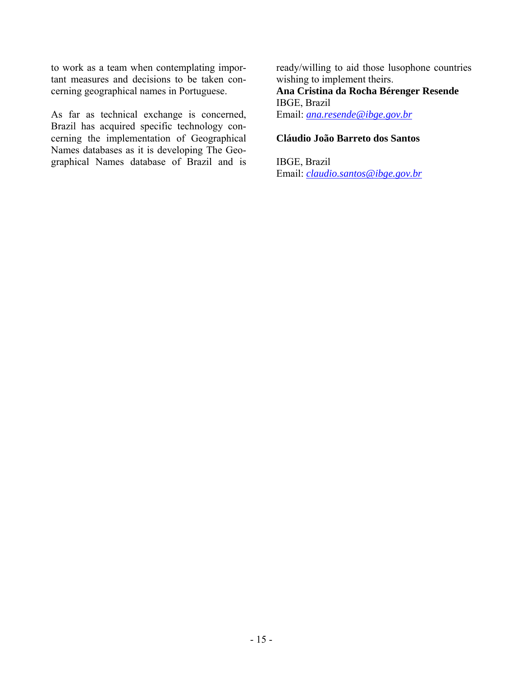to work as a team when contemplating important measures and decisions to be taken concerning geographical names in Portuguese.

As far as technical exchange is concerned, Brazil has acquired specific technology concerning the implementation of Geographical Names databases as it is developing The Geographical Names database of Brazil and is

ready/willing to aid those lusophone countries wishing to implement theirs. **Ana Cristina da Rocha Bérenger Resende**  IBGE, Brazil Email: *ana.resende@ibge.gov.br*

#### **Cláudio João Barreto dos Santos**

IBGE, Brazil Email: *claudio.santos@ibge.gov.br*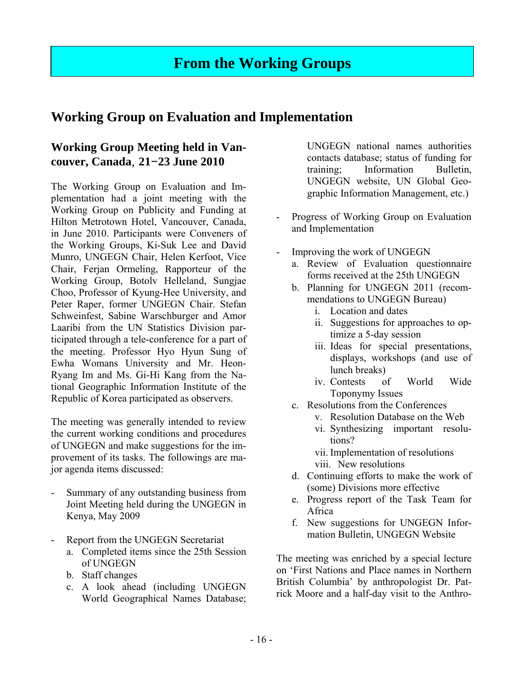# **From the Working Groups**

# **Working Group on Evaluation and Implementation**

# **Working Group Meeting held in Vancouver, Canada**, **21**-**23 June 2010**

The Working Group on Evaluation and Implementation had a joint meeting with the Working Group on Publicity and Funding at Hilton Metrotown Hotel, Vancouver, Canada, in June 2010. Participants were Conveners of the Working Groups, Ki-Suk Lee and David Munro, UNGEGN Chair, Helen Kerfoot, Vice Chair, Ferjan Ormeling, Rapporteur of the Working Group, Botolv Helleland, Sungjae Choo, Professor of Kyung-Hee University, and Peter Raper, former UNGEGN Chair. Stefan Schweinfest, Sabine Warschburger and Amor Laaribi from the UN Statistics Division participated through a tele-conference for a part of the meeting. Professor Hyo Hyun Sung of Ewha Womans University and Mr. Heon-Ryang Im and Ms. Gi-Hi Kang from the National Geographic Information Institute of the Republic of Korea participated as observers.

The meeting was generally intended to review the current working conditions and procedures of UNGEGN and make suggestions for the improvement of its tasks. The followings are major agenda items discussed:

- Summary of any outstanding business from Joint Meeting held during the UNGEGN in Kenya, May 2009
- Report from the UNGEGN Secretariat
	- a. Completed items since the 25th Session of UNGEGN
	- b. Staff changes
	- c. A look ahead (including UNGEGN World Geographical Names Database;

UNGEGN national names authorities contacts database; status of funding for training; Information Bulletin, UNGEGN website, UN Global Geographic Information Management, etc.)

- Progress of Working Group on Evaluation and Implementation
- Improving the work of UNGEGN
	- a. Review of Evaluation questionnaire forms received at the 25th UNGEGN
	- b. Planning for UNGEGN 2011 (recommendations to UNGEGN Bureau)
		- i. Location and dates
		- ii. Suggestions for approaches to optimize a 5-day session
		- iii. Ideas for special presentations, displays, workshops (and use of lunch breaks)
		- iv. Contests of World Wide Toponymy Issues
	- c. Resolutions from the Conferences
		- v. Resolution Database on the Web
		- vi. Synthesizing important resolutions?

vii. Implementation of resolutions

- viii. New resolutions
- d. Continuing efforts to make the work of (some) Divisions more effective
- e. Progress report of the Task Team for Africa
- f. New suggestions for UNGEGN Information Bulletin, UNGEGN Website

The meeting was enriched by a special lecture on 'First Nations and Place names in Northern British Columbia' by anthropologist Dr. Patrick Moore and a half-day visit to the Anthro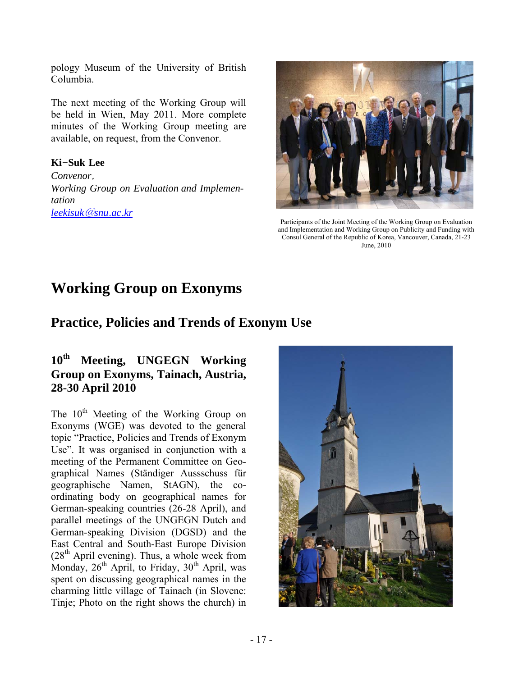pology Museum of the University of British Columbia.

The next meeting of the Working Group will be held in Wien, May 2011. More complete minutes of the Working Group meeting are available, on request, from the Convenor.

### **Ki**-**Suk Lee**

*Convenor*, *Working Group on Evaluation and Implementation leekisuk*@*snu*.*ac*.*kr*



Participants of the Joint Meeting of the Working Group on Evaluation and Implementation and Working Group on Publicity and Funding with Consul General of the Republic of Korea, Vancouver, Canada, 21-23 June, 2010

# **Working Group on Exonyms**

# **Practice, Policies and Trends of Exonym Use**

### **10th Meeting, UNGEGN Working Group on Exonyms, Tainach, Austria, 28-30 April 2010**

The  $10^{th}$  Meeting of the Working Group on Exonyms (WGE) was devoted to the general topic "Practice, Policies and Trends of Exonym Use". It was organised in conjunction with a meeting of the Permanent Committee on Geographical Names (Ständiger Aussschuss für geographische Namen, StAGN), the coordinating body on geographical names for German-speaking countries (26-28 April), and parallel meetings of the UNGEGN Dutch and German-speaking Division (DGSD) and the East Central and South-East Europe Division  $(28<sup>th</sup>$  April evening). Thus, a whole week from Monday,  $26<sup>th</sup>$  April, to Friday,  $30<sup>th</sup>$  April, was spent on discussing geographical names in the charming little village of Tainach (in Slovene: Tinje; Photo on the right shows the church) in

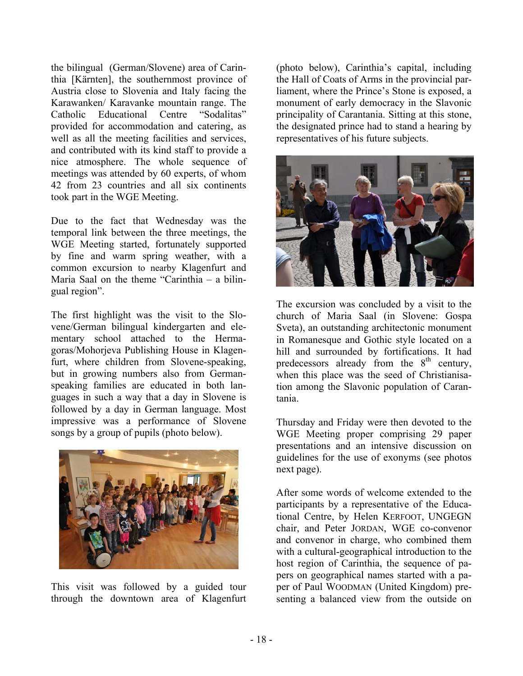the bilingual (German/Slovene) area of Carinthia [Kärnten], the southernmost province of Austria close to Slovenia and Italy facing the Karawanken/ Karavanke mountain range. The Catholic Educational Centre "Sodalitas" provided for accommodation and catering, as well as all the meeting facilities and services, and contributed with its kind staff to provide a nice atmosphere. The whole sequence of meetings was attended by 60 experts, of whom 42 from 23 countries and all six continents took part in the WGE Meeting.

Due to the fact that Wednesday was the temporal link between the three meetings, the WGE Meeting started, fortunately supported by fine and warm spring weather, with a common excursion to nearby Klagenfurt and Maria Saal on the theme "Carinthia – a bilingual region".

The first highlight was the visit to the Slovene/German bilingual kindergarten and elementary school attached to the Hermagoras/Mohorjeva Publishing House in Klagenfurt, where children from Slovene-speaking, but in growing numbers also from Germanspeaking families are educated in both languages in such a way that a day in Slovene is followed by a day in German language. Most impressive was a performance of Slovene songs by a group of pupils (photo below).



This visit was followed by a guided tour through the downtown area of Klagenfurt

(photo below), Carinthia's capital, including the Hall of Coats of Arms in the provincial parliament, where the Prince's Stone is exposed, a monument of early democracy in the Slavonic principality of Carantania. Sitting at this stone, the designated prince had to stand a hearing by representatives of his future subjects.



The excursion was concluded by a visit to the church of Maria Saal (in Slovene: Gospa Sveta), an outstanding architectonic monument in Romanesque and Gothic style located on a hill and surrounded by fortifications. It had predecessors already from the  $8<sup>th</sup>$  century, when this place was the seed of Christianisation among the Slavonic population of Carantania.

Thursday and Friday were then devoted to the WGE Meeting proper comprising 29 paper presentations and an intensive discussion on guidelines for the use of exonyms (see photos next page).

After some words of welcome extended to the participants by a representative of the Educational Centre, by Helen KERFOOT, UNGEGN chair, and Peter JORDAN, WGE co-convenor and convenor in charge, who combined them with a cultural-geographical introduction to the host region of Carinthia, the sequence of papers on geographical names started with a paper of Paul WOODMAN (United Kingdom) presenting a balanced view from the outside on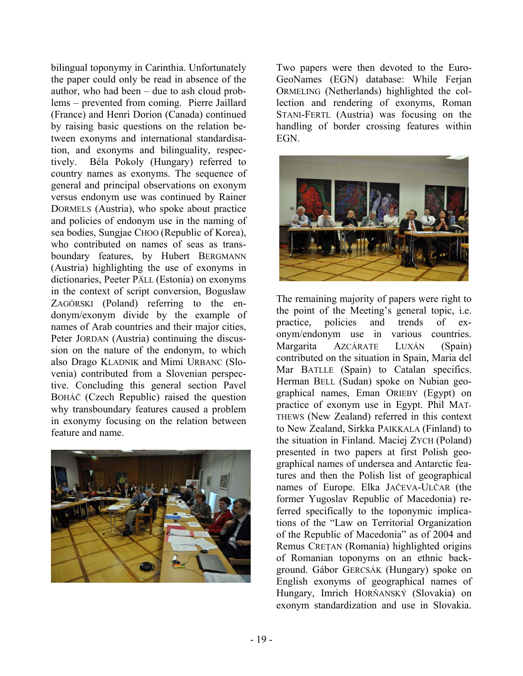bilingual toponymy in Carinthia. Unfortunately the paper could only be read in absence of the author, who had been – due to ash cloud problems – prevented from coming. Pierre Jaillard (France) and Henri Dorion (Canada) continued by raising basic questions on the relation between exonyms and international standardisation, and exonyms and bilinguality, respectively. Béla Pokoly (Hungary) referred to country names as exonyms. The sequence of general and principal observations on exonym versus endonym use was continued by Rainer DORMELS (Austria), who spoke about practice and policies of endonym use in the naming of sea bodies, Sungjae CHOO (Republic of Korea), who contributed on names of seas as transboundary features, by Hubert BERGMANN (Austria) highlighting the use of exonyms in dictionaries, Peeter PÄLL (Estonia) on exonyms in the context of script conversion, Bogusław ZAGÓRSKI (Poland) referring to the endonym/exonym divide by the example of names of Arab countries and their major cities, Peter JORDAN (Austria) continuing the discussion on the nature of the endonym, to which also Drago KLADNIK and Mimi URBANC (Slovenia) contributed from a Slovenian perspective. Concluding this general section Pavel BOHÁČ (Czech Republic) raised the question why transboundary features caused a problem in exonymy focusing on the relation between feature and name.



Two papers were then devoted to the Euro-GeoNames (EGN) database: While Ferjan ORMELING (Netherlands) highlighted the collection and rendering of exonyms, Roman STANI-FERTL (Austria) was focusing on the handling of border crossing features within **EGN** 



The remaining majority of papers were right to the point of the Meeting's general topic, i.e. practice, policies and trends of exonym/endonym use in various countries. Margarita AZCÁRATE LUXÁN (Spain) contributed on the situation in Spain, Maria del Mar BATLLE (Spain) to Catalan specifics. Herman BELL (Sudan) spoke on Nubian geographical names, Eman ORIEBY (Egypt) on practice of exonym use in Egypt. Phil MAT-THEWS (New Zealand) referred in this context to New Zealand, Sirkka PAIKKALA (Finland) to the situation in Finland. Maciej ZYCH (Poland) presented in two papers at first Polish geographical names of undersea and Antarctic features and then the Polish list of geographical names of Europe. Elka JAČEVA-ULČAR (the former Yugoslav Republic of Macedonia) referred specifically to the toponymic implications of the "Law on Territorial Organization of the Republic of Macedonia" as of 2004 and Remus CREŢAN (Romania) highlighted origins of Romanian toponyms on an ethnic background. Gábor GERCSÁK (Hungary) spoke on English exonyms of geographical names of Hungary, Imrich HORŇANSKÝ (Slovakia) on exonym standardization and use in Slovakia.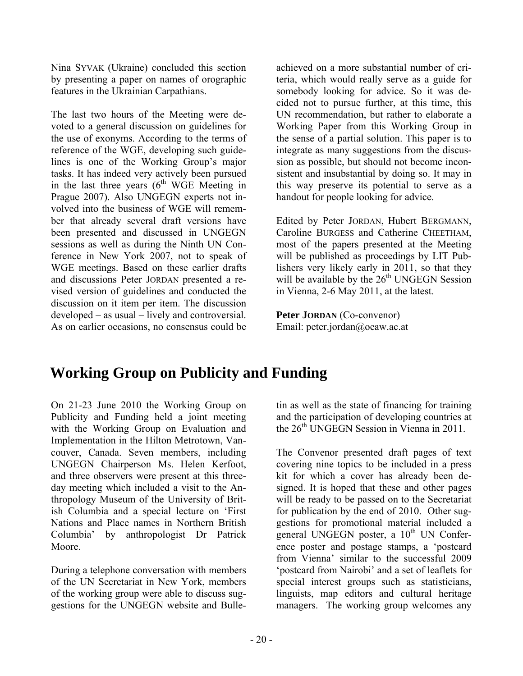Nina SYVAK (Ukraine) concluded this section by presenting a paper on names of orographic features in the Ukrainian Carpathians.

The last two hours of the Meeting were devoted to a general discussion on guidelines for the use of exonyms. According to the terms of reference of the WGE, developing such guidelines is one of the Working Group's major tasks. It has indeed very actively been pursued in the last three years  $(6^{th}$  WGE Meeting in Prague 2007). Also UNGEGN experts not involved into the business of WGE will remember that already several draft versions have been presented and discussed in UNGEGN sessions as well as during the Ninth UN Conference in New York 2007, not to speak of WGE meetings. Based on these earlier drafts and discussions Peter JORDAN presented a revised version of guidelines and conducted the discussion on it item per item. The discussion developed – as usual – lively and controversial. As on earlier occasions, no consensus could be

achieved on a more substantial number of criteria, which would really serve as a guide for somebody looking for advice. So it was decided not to pursue further, at this time, this UN recommendation, but rather to elaborate a Working Paper from this Working Group in the sense of a partial solution. This paper is to integrate as many suggestions from the discussion as possible, but should not become inconsistent and insubstantial by doing so. It may in this way preserve its potential to serve as a handout for people looking for advice.

Edited by Peter JORDAN, Hubert BERGMANN, Caroline BURGESS and Catherine CHEETHAM, most of the papers presented at the Meeting will be published as proceedings by LIT Publishers very likely early in 2011, so that they will be available by the 26<sup>th</sup> UNGEGN Session in Vienna, 2-6 May 2011, at the latest.

**Peter JORDAN** (Co-convenor) Email: peter.jordan@oeaw.ac.at

# **Working Group on Publicity and Funding**

On 21-23 June 2010 the Working Group on Publicity and Funding held a joint meeting with the Working Group on Evaluation and Implementation in the Hilton Metrotown, Vancouver, Canada. Seven members, including UNGEGN Chairperson Ms. Helen Kerfoot, and three observers were present at this threeday meeting which included a visit to the Anthropology Museum of the University of British Columbia and a special lecture on 'First Nations and Place names in Northern British Columbia' by anthropologist Dr Patrick Moore.

During a telephone conversation with members of the UN Secretariat in New York, members of the working group were able to discuss suggestions for the UNGEGN website and Bulletin as well as the state of financing for training and the participation of developing countries at the  $26<sup>th</sup>$  UNGEGN Session in Vienna in 2011.

The Convenor presented draft pages of text covering nine topics to be included in a press kit for which a cover has already been designed. It is hoped that these and other pages will be ready to be passed on to the Secretariat for publication by the end of 2010. Other suggestions for promotional material included a general UNGEGN poster, a  $10^{th}$  UN Conference poster and postage stamps, a 'postcard from Vienna' similar to the successful 2009 'postcard from Nairobi' and a set of leaflets for special interest groups such as statisticians, linguists, map editors and cultural heritage managers. The working group welcomes any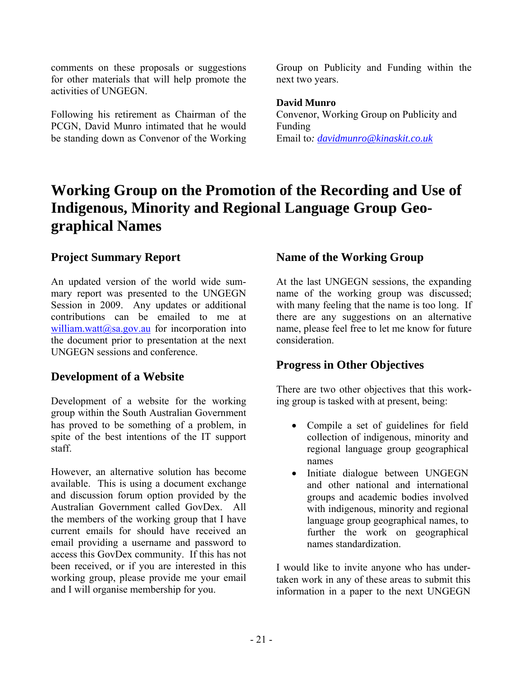comments on these proposals or suggestions for other materials that will help promote the activities of UNGEGN.

Following his retirement as Chairman of the PCGN, David Munro intimated that he would be standing down as Convenor of the Working

Group on Publicity and Funding within the next two years.

### **David Munro**

Convenor, Working Group on Publicity and Funding Email to*: davidmunro@kinaskit.co.uk* 

# **Working Group on the Promotion of the Recording and Use of Indigenous, Minority and Regional Language Group Geographical Names**

### **Project Summary Report**

An updated version of the world wide summary report was presented to the UNGEGN Session in 2009. Any updates or additional contributions can be emailed to me at william.watt@sa.gov.au for incorporation into the document prior to presentation at the next UNGEGN sessions and conference.

### **Development of a Website**

Development of a website for the working group within the South Australian Government has proved to be something of a problem, in spite of the best intentions of the IT support staff.

However, an alternative solution has become available. This is using a document exchange and discussion forum option provided by the Australian Government called GovDex. All the members of the working group that I have current emails for should have received an email providing a username and password to access this GovDex community. If this has not been received, or if you are interested in this working group, please provide me your email and I will organise membership for you.

### **Name of the Working Group**

At the last UNGEGN sessions, the expanding name of the working group was discussed; with many feeling that the name is too long. If there are any suggestions on an alternative name, please feel free to let me know for future consideration.

# **Progress in Other Objectives**

There are two other objectives that this working group is tasked with at present, being:

- Compile a set of guidelines for field collection of indigenous, minority and regional language group geographical names
- Initiate dialogue between UNGEGN and other national and international groups and academic bodies involved with indigenous, minority and regional language group geographical names, to further the work on geographical names standardization.

I would like to invite anyone who has undertaken work in any of these areas to submit this information in a paper to the next UNGEGN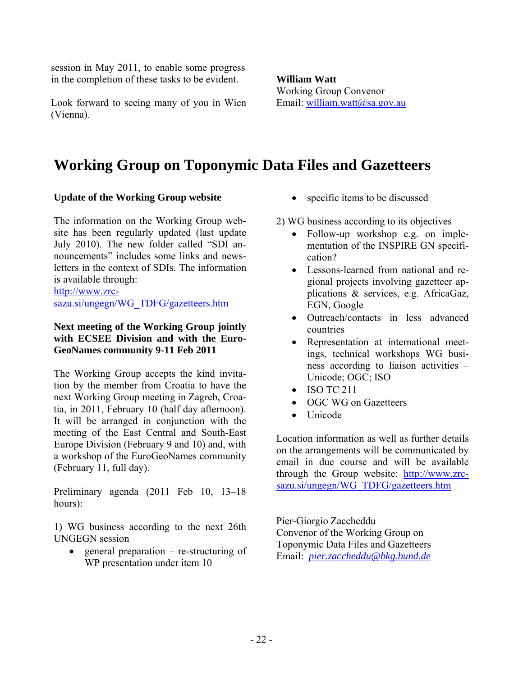session in May 2011, to enable some progress in the completion of these tasks to be evident.

Look forward to seeing many of you in Wien (Vienna).

**William Watt**  Working Group Convenor Email: william.watt@sa.gov.au

# **Working Group on Toponymic Data Files and Gazetteers**

### **Update of the Working Group website**

The information on the Working Group website has been regularly updated (last update July 2010). The new folder called "SDI announcements" includes some links and newsletters in the context of SDIs. The information is available through:

http://www.zrc-

sazu.si/ungegn/WG\_TDFG/gazetteers.htm

### **Next meeting of the Working Group jointly with ECSEE Division and with the Euro-GeoNames community 9-11 Feb 2011**

The Working Group accepts the kind invitation by the member from Croatia to have the next Working Group meeting in Zagreb, Croatia, in 2011, February 10 (half day afternoon). It will be arranged in conjunction with the meeting of the East Central and South-East Europe Division (February 9 and 10) and, with a workshop of the EuroGeoNames community (February 11, full day).

Preliminary agenda (2011 Feb 10, 13–18 hours):

1) WG business according to the next 26th UNGEGN session

 $\bullet$  general preparation – re-structuring of WP presentation under item 10

- specific items to be discussed
- 2) WG business according to its objectives
	- Follow-up workshop e.g. on implementation of the INSPIRE GN specification?
	- Lessons-learned from national and regional projects involving gazetteer applications & services, e.g. AfricaGaz, EGN, Google
	- Outreach/contacts in less advanced countries
	- Representation at international meetings, technical workshops WG business according to liaison activities – Unicode; OGC; ISO
	- ISO TC 211
	- OGC WG on Gazetteers
	- Unicode

Location information as well as further details on the arrangements will be communicated by email in due course and will be available through the Group website: http://www.zrcsazu.si/ungegn/WG\_TDFG/gazetteers.htm

Pier-Giorgio Zaccheddu Convenor of the Working Group on Toponymic Data Files and Gazetteers Email: *pier.zaccheddu@bkg.bund.de*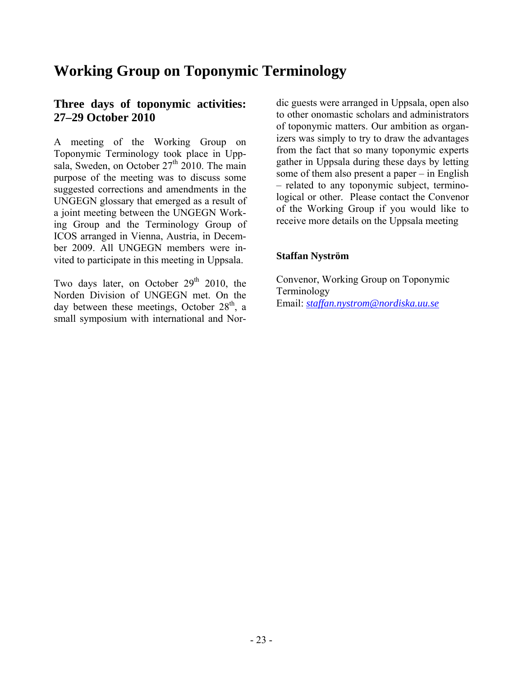# **Working Group on Toponymic Terminology**

### **Three days of toponymic activities: 27–29 October 2010**

A meeting of the Working Group on Toponymic Terminology took place in Uppsala, Sweden, on October  $27<sup>th</sup>$  2010. The main purpose of the meeting was to discuss some suggested corrections and amendments in the UNGEGN glossary that emerged as a result of a joint meeting between the UNGEGN Working Group and the Terminology Group of ICOS arranged in Vienna, Austria, in December 2009. All UNGEGN members were invited to participate in this meeting in Uppsala.

Two days later, on October  $29<sup>th</sup>$  2010, the Norden Division of UNGEGN met. On the day between these meetings, October  $28<sup>th</sup>$ , a small symposium with international and Nor-

dic guests were arranged in Uppsala, open also to other onomastic scholars and administrators of toponymic matters. Our ambition as organizers was simply to try to draw the advantages from the fact that so many toponymic experts gather in Uppsala during these days by letting some of them also present a paper – in English – related to any toponymic subject, terminological or other. Please contact the Convenor of the Working Group if you would like to receive more details on the Uppsala meeting

### **Staffan Nyström**

Convenor, Working Group on Toponymic Terminology Email: *staffan.nystrom@nordiska.uu.se*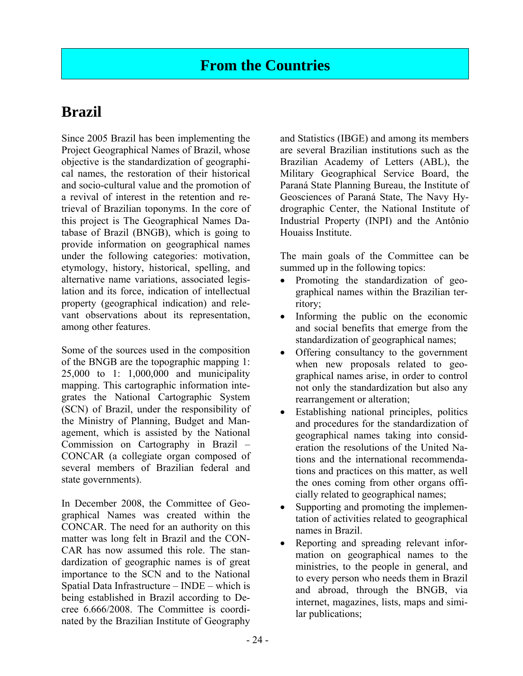# **Brazil**

Since 2005 Brazil has been implementing the Project Geographical Names of Brazil, whose objective is the standardization of geographical names, the restoration of their historical and socio-cultural value and the promotion of a revival of interest in the retention and retrieval of Brazilian toponyms. In the core of this project is The Geographical Names Database of Brazil (BNGB), which is going to provide information on geographical names under the following categories: motivation, etymology, history, historical, spelling, and alternative name variations, associated legislation and its force, indication of intellectual property (geographical indication) and relevant observations about its representation, among other features.

Some of the sources used in the composition of the BNGB are the topographic mapping 1: 25,000 to 1: 1,000,000 and municipality mapping. This cartographic information integrates the National Cartographic System (SCN) of Brazil, under the responsibility of the Ministry of Planning, Budget and Management, which is assisted by the National Commission on Cartography in Brazil – CONCAR (a collegiate organ composed of several members of Brazilian federal and state governments).

In December 2008, the Committee of Geographical Names was created within the CONCAR. The need for an authority on this matter was long felt in Brazil and the CON-CAR has now assumed this role. The standardization of geographic names is of great importance to the SCN and to the National Spatial Data Infrastructure – INDE – which is being established in Brazil according to Decree 6.666/2008. The Committee is coordinated by the Brazilian Institute of Geography

and Statistics (IBGE) and among its members are several Brazilian institutions such as the Brazilian Academy of Letters (ABL), the Military Geographical Service Board, the Paraná State Planning Bureau, the Institute of Geosciences of Paraná State, The Navy Hydrographic Center, the National Institute of Industrial Property (INPI) and the Antônio Houaiss Institute.

The main goals of the Committee can be summed up in the following topics:

- Promoting the standardization of geographical names within the Brazilian territory;
- Informing the public on the economic and social benefits that emerge from the standardization of geographical names;
- Offering consultancy to the government when new proposals related to geographical names arise, in order to control not only the standardization but also any rearrangement or alteration;
- Establishing national principles, politics and procedures for the standardization of geographical names taking into consideration the resolutions of the United Nations and the international recommendations and practices on this matter, as well the ones coming from other organs officially related to geographical names;
- Supporting and promoting the implementation of activities related to geographical names in Brazil.
- Reporting and spreading relevant information on geographical names to the ministries, to the people in general, and to every person who needs them in Brazil and abroad, through the BNGB, via internet, magazines, lists, maps and similar publications;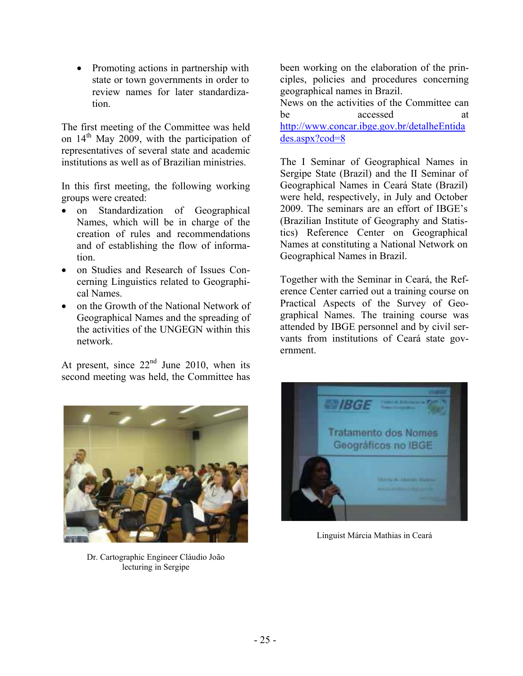• Promoting actions in partnership with state or town governments in order to review names for later standardization.

The first meeting of the Committee was held on  $14<sup>th</sup>$  May 2009, with the participation of representatives of several state and academic institutions as well as of Brazilian ministries.

In this first meeting, the following working groups were created:

- on Standardization of Geographical Names, which will be in charge of the creation of rules and recommendations and of establishing the flow of information.
- on Studies and Research of Issues Concerning Linguistics related to Geographical Names.
- on the Growth of the National Network of Geographical Names and the spreading of the activities of the UNGEGN within this network.

At present, since  $22<sup>nd</sup>$  June 2010, when its second meeting was held, the Committee has

been working on the elaboration of the principles, policies and procedures concerning geographical names in Brazil.

News on the activities of the Committee can be accessed at http://www.concar.ibge.gov.br/detalheEntida des.aspx?cod=8

The I Seminar of Geographical Names in Sergipe State (Brazil) and the II Seminar of Geographical Names in Ceará State (Brazil) were held, respectively, in July and October 2009. The seminars are an effort of IBGE's (Brazilian Institute of Geography and Statistics) Reference Center on Geographical Names at constituting a National Network on Geographical Names in Brazil.

Together with the Seminar in Ceará, the Reference Center carried out a training course on Practical Aspects of the Survey of Geographical Names. The training course was attended by IBGE personnel and by civil servants from institutions of Ceará state government.



Dr. Cartographic Engineer Cláudio João lecturing in Sergipe



Linguist Márcia Mathias in Ceará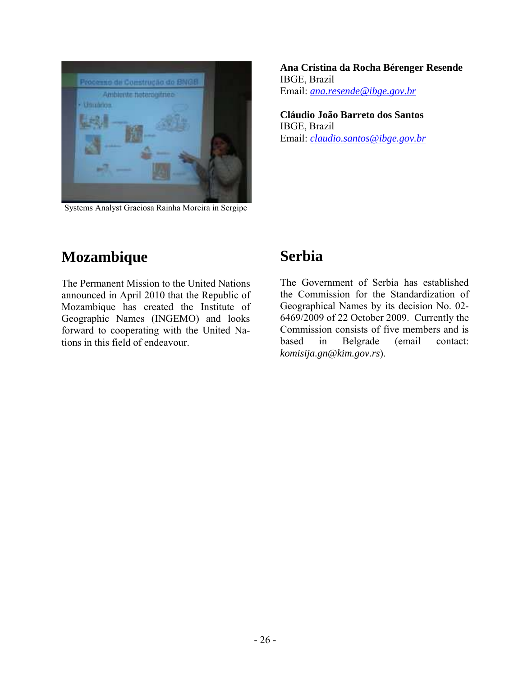

Systems Analyst Graciosa Rainha Moreira in Sergipe

**Ana Cristina da Rocha Bérenger Resende**  IBGE, Brazil Email: *ana.resende@ibge.gov.br*

**Cláudio João Barreto dos Santos**  IBGE, Brazil Email: *claudio.santos@ibge.gov.br*

# **Mozambique**

The Permanent Mission to the United Nations announced in April 2010 that the Republic of Mozambique has created the Institute of Geographic Names (INGEMO) and looks forward to cooperating with the United Nations in this field of endeavour.

# **Serbia**

The Government of Serbia has established the Commission for the Standardization of Geographical Names by its decision No. 02- 6469/2009 of 22 October 2009. Currently the Commission consists of five members and is based in Belgrade (email contact: *komisija.gn@kim.gov.rs*).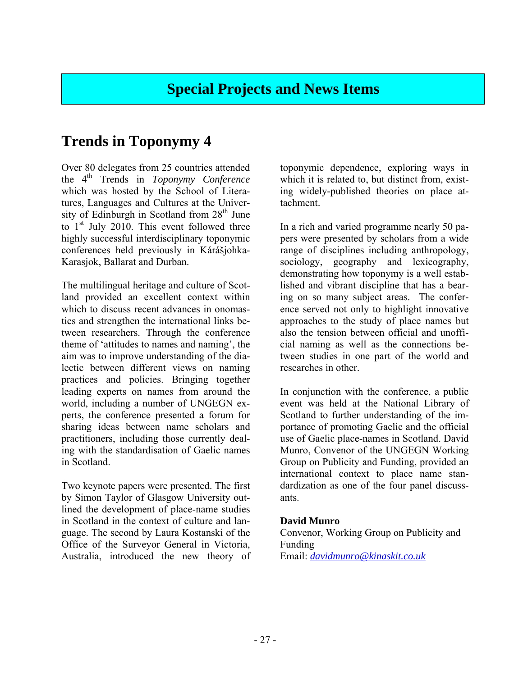# **Special Projects and News Items**

# **Trends in Toponymy 4**

Over 80 delegates from 25 countries attended the 4th Trends in *Toponymy Conference* which was hosted by the School of Literatures, Languages and Cultures at the University of Edinburgh in Scotland from  $28<sup>th</sup>$  June to 1<sup>st</sup> July 2010. This event followed three highly successful interdisciplinary toponymic conferences held previously in Kárášjohka-Karasjok, Ballarat and Durban.

The multilingual heritage and culture of Scotland provided an excellent context within which to discuss recent advances in onomastics and strengthen the international links between researchers. Through the conference theme of 'attitudes to names and naming', the aim was to improve understanding of the dialectic between different views on naming practices and policies. Bringing together leading experts on names from around the world, including a number of UNGEGN experts, the conference presented a forum for sharing ideas between name scholars and practitioners, including those currently dealing with the standardisation of Gaelic names in Scotland.

Two keynote papers were presented. The first by Simon Taylor of Glasgow University outlined the development of place-name studies in Scotland in the context of culture and language. The second by Laura Kostanski of the Office of the Surveyor General in Victoria, Australia, introduced the new theory of toponymic dependence, exploring ways in which it is related to, but distinct from, existing widely-published theories on place attachment.

In a rich and varied programme nearly 50 papers were presented by scholars from a wide range of disciplines including anthropology, sociology, geography and lexicography, demonstrating how toponymy is a well established and vibrant discipline that has a bearing on so many subject areas. The conference served not only to highlight innovative approaches to the study of place names but also the tension between official and unofficial naming as well as the connections between studies in one part of the world and researches in other.

In conjunction with the conference, a public event was held at the National Library of Scotland to further understanding of the importance of promoting Gaelic and the official use of Gaelic place-names in Scotland. David Munro, Convenor of the UNGEGN Working Group on Publicity and Funding, provided an international context to place name standardization as one of the four panel discussants.

#### **David Munro**

Convenor, Working Group on Publicity and Funding Email: *davidmunro@kinaskit.co.uk*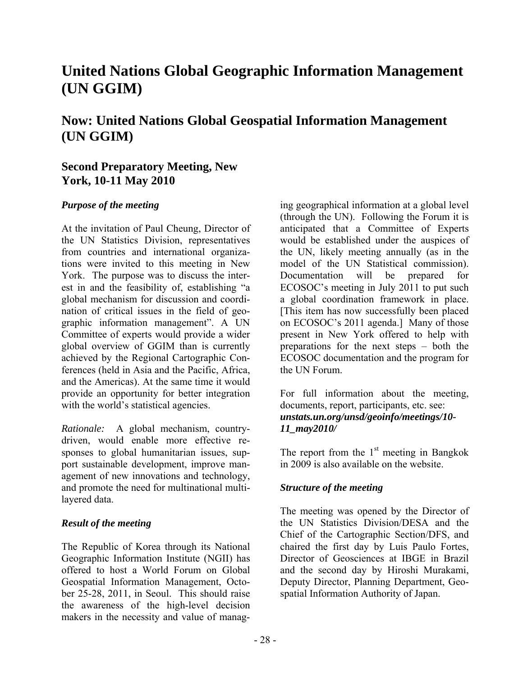# **United Nations Global Geographic Information Management (UN GGIM)**

# **Now: United Nations Global Geospatial Information Management (UN GGIM)**

### **Second Preparatory Meeting, New York, 10-11 May 2010**

### *Purpose of the meeting*

At the invitation of Paul Cheung, Director of the UN Statistics Division, representatives from countries and international organizations were invited to this meeting in New York. The purpose was to discuss the interest in and the feasibility of, establishing "a global mechanism for discussion and coordination of critical issues in the field of geographic information management". A UN Committee of experts would provide a wider global overview of GGIM than is currently achieved by the Regional Cartographic Conferences (held in Asia and the Pacific, Africa, and the Americas). At the same time it would provide an opportunity for better integration with the world's statistical agencies.

*Rationale:* A global mechanism, countrydriven, would enable more effective responses to global humanitarian issues, support sustainable development, improve management of new innovations and technology, and promote the need for multinational multilayered data.

### *Result of the meeting*

The Republic of Korea through its National Geographic Information Institute (NGII) has offered to host a World Forum on Global Geospatial Information Management, October 25-28, 2011, in Seoul. This should raise the awareness of the high-level decision makers in the necessity and value of manag-

ing geographical information at a global level (through the UN). Following the Forum it is anticipated that a Committee of Experts would be established under the auspices of the UN, likely meeting annually (as in the model of the UN Statistical commission). Documentation will be prepared for ECOSOC's meeting in July 2011 to put such a global coordination framework in place. [This item has now successfully been placed on ECOSOC's 2011 agenda.] Many of those present in New York offered to help with preparations for the next steps – both the ECOSOC documentation and the program for the UN Forum.

For full information about the meeting, documents, report, participants, etc. see: *unstats.un.org/unsd/geoinfo/meetings/10- 11\_may2010/* 

The report from the  $1<sup>st</sup>$  meeting in Bangkok in 2009 is also available on the website.

### *Structure of the meeting*

The meeting was opened by the Director of the UN Statistics Division/DESA and the Chief of the Cartographic Section/DFS, and chaired the first day by Luis Paulo Fortes, Director of Geosciences at IBGE in Brazil and the second day by Hiroshi Murakami, Deputy Director, Planning Department, Geospatial Information Authority of Japan.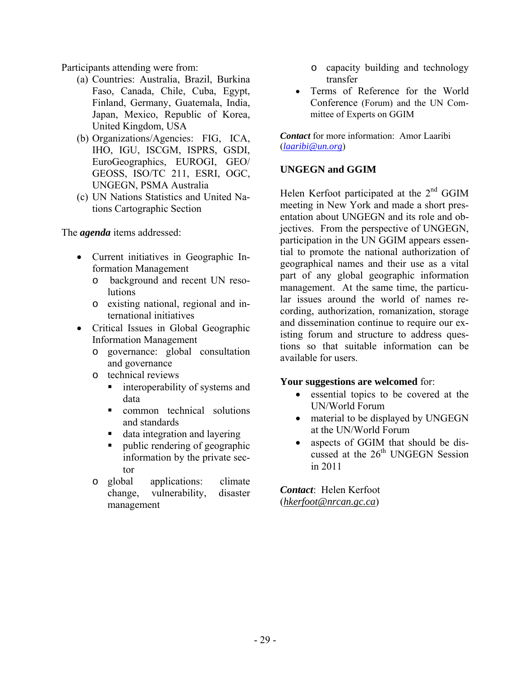Participants attending were from:

- (a) Countries: Australia, Brazil, Burkina Faso, Canada, Chile, Cuba, Egypt, Finland, Germany, Guatemala, India, Japan, Mexico, Republic of Korea, United Kingdom, USA
- (b) Organizations/Agencies: FIG, ICA, IHO, IGU, ISCGM, ISPRS, GSDI, EuroGeographics, EUROGI, GEO/ GEOSS, ISO/TC 211, ESRI, OGC, UNGEGN, PSMA Australia
- (c) UN Nations Statistics and United Nations Cartographic Section

The *agenda* items addressed:

- Current initiatives in Geographic Information Management
	- o background and recent UN resolutions
	- o existing national, regional and international initiatives
- Critical Issues in Global Geographic Information Management
	- o governance: global consultation and governance
	- o technical reviews
		- **i** interoperability of systems and data
		- **common** technical solutions and standards
		- data integration and layering
		- public rendering of geographic information by the private sector
	- o global applications: climate change, vulnerability, management
- o capacity building and technology transfer
- Terms of Reference for the World Conference (Forum) and the UN Committee of Experts on GGIM

*Contact* for more information: Amor Laaribi (*laaribi@un.org*)

### **UNGEGN and GGIM**

Helen Kerfoot participated at the 2<sup>nd</sup> GGIM meeting in New York and made a short presentation about UNGEGN and its role and objectives. From the perspective of UNGEGN, participation in the UN GGIM appears essential to promote the national authorization of geographical names and their use as a vital part of any global geographic information management. At the same time, the particular issues around the world of names recording, authorization, romanization, storage and dissemination continue to require our existing forum and structure to address questions so that suitable information can be available for users.

#### **Your suggestions are welcomed** for:

- essential topics to be covered at the UN/World Forum
- material to be displayed by UNGEGN at the UN/World Forum
- aspects of GGIM that should be discussed at the 26<sup>th</sup> UNGEGN Session in 2011

*Contact*: Helen Kerfoot (*hkerfoot@nrcan.gc.ca*)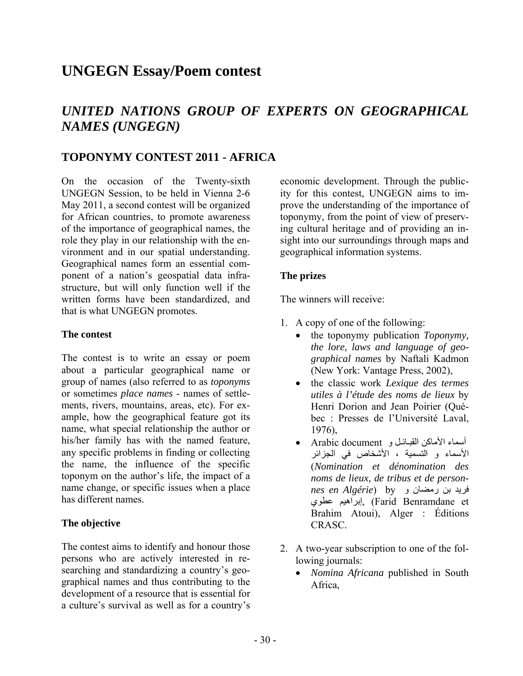# **UNGEGN Essay/Poem contest**

# *UNITED NATIONS GROUP OF EXPERTS ON GEOGRAPHICAL NAMES (UNGEGN)*

### **TOPONYMY CONTEST 2011 - AFRICA**

On the occasion of the Twenty-sixth UNGEGN Session, to be held in Vienna 2-6 May 2011, a second contest will be organized for African countries, to promote awareness of the importance of geographical names, the role they play in our relationship with the environment and in our spatial understanding. Geographical names form an essential component of a nation's geospatial data infrastructure, but will only function well if the written forms have been standardized, and that is what UNGEGN promotes.

#### **The contest**

The contest is to write an essay or poem about a particular geographical name or group of names (also referred to as *toponyms* or sometimes *place names* - names of settlements, rivers, mountains, areas, etc). For example, how the geographical feature got its name, what special relationship the author or his/her family has with the named feature, any specific problems in finding or collecting the name, the influence of the specific toponym on the author's life, the impact of a name change, or specific issues when a place has different names.

### **The objective**

The contest aims to identify and honour those persons who are actively interested in researching and standardizing a country's geographical names and thus contributing to the development of a resource that is essential for a culture's survival as well as for a country's

economic development. Through the publicity for this contest, UNGEGN aims to improve the understanding of the importance of toponymy, from the point of view of preserving cultural heritage and of providing an insight into our surroundings through maps and geographical information systems.

### **The prizes**

The winners will receive:

- 1. A copy of one of the following:
	- the toponymy publication *Toponymy, the lore, laws and language of geographical names* by Naftali Kadmon (New York: Vantage Press, 2002),
	- the classic work *Lexique des termes utiles à l'étude des noms de lieux* by Henri Dorion and Jean Poirier (Québec : Presses de l'Université Laval, 1976),
	- أسماء الأماآن القبـائـل و document Arabic الأسماء و التسمية ، الأشخاص في الجزائر (*Nomination et dénomination des noms de lieux, de tribus et de personnes en Algérie*) by و رمضان بن فريد عطوي إبراهيم,) Farid Benramdane et Brahim Atoui), Alger : Éditions CRASC.
- 2. A two-year subscription to one of the following journals:
	- *Nomina Africana* published in South Africa,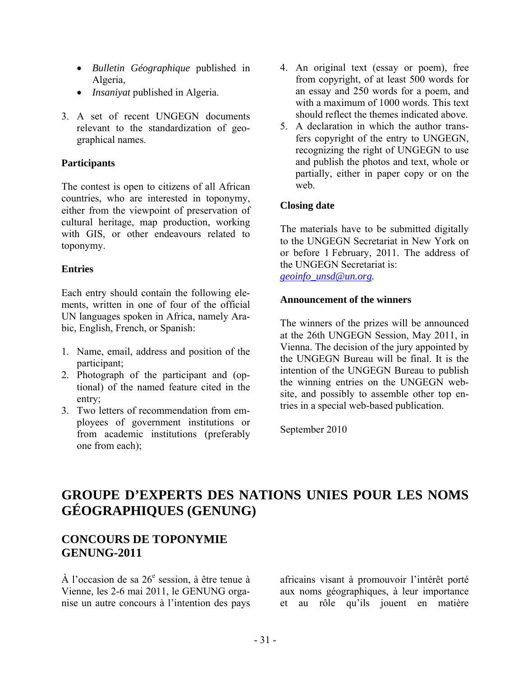- *Bulletin Géographique* published in Algeria,
- *Insaniyat* published in Algeria.
- 3. A set of recent UNGEGN documents relevant to the standardization of geographical names.

### **Participants**

The contest is open to citizens of all African countries, who are interested in toponymy, either from the viewpoint of preservation of cultural heritage, map production, working with GIS, or other endeavours related to toponymy.

### **Entries**

Each entry should contain the following elements, written in one of four of the official UN languages spoken in Africa, namely Arabic, English, French, or Spanish:

- 1. Name, email, address and position of the participant;
- 2. Photograph of the participant and (optional) of the named feature cited in the entry;
- 3. Two letters of recommendation from employees of government institutions or from academic institutions (preferably one from each);
- 4. An original text (essay or poem), free from copyright, of at least 500 words for an essay and 250 words for a poem, and with a maximum of 1000 words. This text should reflect the themes indicated above.
- 5. A declaration in which the author transfers copyright of the entry to UNGEGN, recognizing the right of UNGEGN to use and publish the photos and text, whole or partially, either in paper copy or on the web.

### **Closing date**

The materials have to be submitted digitally to the UNGEGN Secretariat in New York on or before 1 February, 2011. The address of the UNGEGN Secretariat is:

*geoinfo\_unsd@un.org.* 

### **Announcement of the winners**

The winners of the prizes will be announced at the 26th UNGEGN Session, May 2011, in Vienna. The decision of the jury appointed by the UNGEGN Bureau will be final. It is the intention of the UNGEGN Bureau to publish the winning entries on the UNGEGN website, and possibly to assemble other top entries in a special web-based publication.

September 2010

# **GROUPE D'EXPERTS DES NATIONS UNIES POUR LES NOMS GÉOGRAPHIQUES (GENUNG)**

### **CONCOURS DE TOPONYMIE GENUNG-2011**

À l'occasion de sa  $26^{\circ}$  session, à être tenue à Vienne, les 2-6 mai 2011, le GENUNG organise un autre concours à l'intention des pays

africains visant à promouvoir l'intérêt porté aux noms géographiques, à leur importance et au rôle qu'ils jouent en matière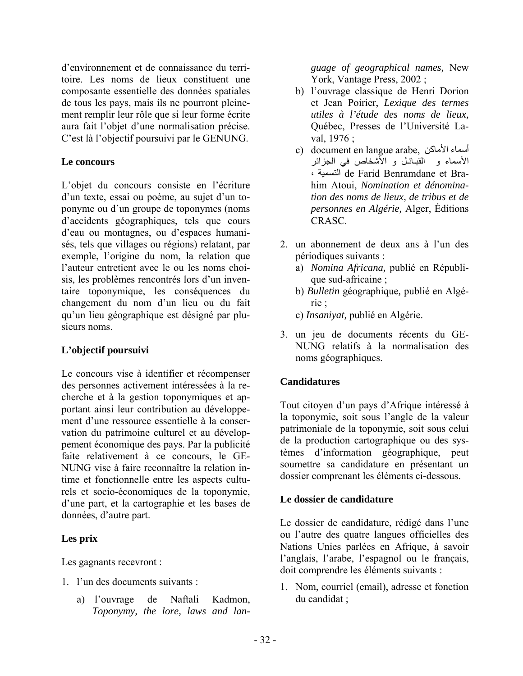d'environnement et de connaissance du territoire. Les noms de lieux constituent une composante essentielle des données spatiales de tous les pays, mais ils ne pourront pleinement remplir leur rôle que si leur forme écrite aura fait l'objet d'une normalisation précise. C'est là l'objectif poursuivi par le GENUNG.

#### **Le concours**

L'objet du concours consiste en l'écriture d'un texte, essai ou poème, au sujet d'un toponyme ou d'un groupe de toponymes (noms d'accidents géographiques, tels que cours d'eau ou montagnes, ou d'espaces humanisés, tels que villages ou régions) relatant, par exemple, l'origine du nom, la relation que l'auteur entretient avec le ou les noms choisis, les problèmes rencontrés lors d'un inventaire toponymique, les conséquences du changement du nom d'un lieu ou du fait qu'un lieu géographique est désigné par plusieurs noms.

### **L'objectif poursuivi**

Le concours vise à identifier et récompenser des personnes activement intéressées à la recherche et à la gestion toponymiques et apportant ainsi leur contribution au développement d'une ressource essentielle à la conservation du patrimoine culturel et au développement économique des pays. Par la publicité faite relativement à ce concours, le GE-NUNG vise à faire reconnaître la relation intime et fonctionnelle entre les aspects culturels et socio-économiques de la toponymie, d'une part, et la cartographie et les bases de données, d'autre part.

#### **Les prix**

Les gagnants recevront :

- 1. l'un des documents suivants :
	- a) l'ouvrage de Naftali Kadmon, *Toponymy, the lore, laws and lan-*

*guage of geographical names,* New York, Vantage Press, 2002 ;

- b) l'ouvrage classique de Henri Dorion et Jean Poirier, *Lexique des termes utiles à l'étude des noms de lieux,*  Québec, Presses de l'Université Laval, 1976 ;
- c) document en langue arabe, أسماء الأماكن الأسماء و القبـائـل و الأشخاص في الجزائر ، التسمية de Farid Benramdane et Brahim Atoui, *Nomination et dénomination des noms de lieux, de tribus et de personnes en Algérie,* Alger, Éditions CRASC.
- 2. un abonnement de deux ans à l'un des périodiques suivants :
	- a) *Nomina Africana,* publié en République sud-africaine ;
	- b) *Bulletin* géographique*,* publié en Algérie ;

c) *Insaniyat,* publié en Algérie.

3. un jeu de documents récents du GE-NUNG relatifs à la normalisation des noms géographiques.

### **Candidatures**

Tout citoyen d'un pays d'Afrique intéressé à la toponymie, soit sous l'angle de la valeur patrimoniale de la toponymie, soit sous celui de la production cartographique ou des systèmes d'information géographique, peut soumettre sa candidature en présentant un dossier comprenant les éléments ci-dessous.

#### **Le dossier de candidature**

Le dossier de candidature, rédigé dans l'une ou l'autre des quatre langues officielles des Nations Unies parlées en Afrique, à savoir l'anglais, l'arabe, l'espagnol ou le français, doit comprendre les éléments suivants :

1. Nom, courriel (email), adresse et fonction du candidat ;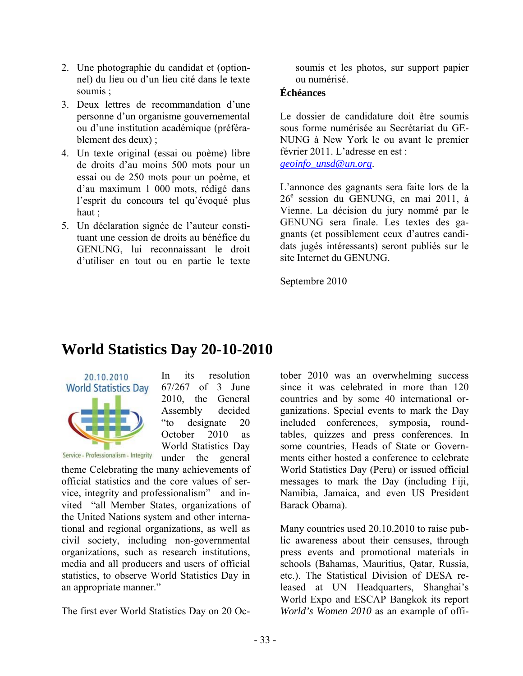- 2. Une photographie du candidat et (optionnel) du lieu ou d'un lieu cité dans le texte soumis ;
- 3. Deux lettres de recommandation d'une personne d'un organisme gouvernemental ou d'une institution académique (préférablement des deux) ;
- 4. Un texte original (essai ou poème) libre de droits d'au moins 500 mots pour un essai ou de 250 mots pour un poème, et d'au maximum 1 000 mots, rédigé dans l'esprit du concours tel qu'évoqué plus haut ;
- 5. Un déclaration signée de l'auteur constituant une cession de droits au bénéfice du GENUNG, lui reconnaissant le droit d'utiliser en tout ou en partie le texte

soumis et les photos, sur support papier ou numérisé.

### **Échéances**

Le dossier de candidature doit être soumis sous forme numérisée au Secrétariat du GE-NUNG à New York le ou avant le premier février 2011. L'adresse en est : *geoinfo\_unsd@un.org*.

L'annonce des gagnants sera faite lors de la 26<sup>e</sup> session du GENUNG, en mai 2011, à Vienne. La décision du jury nommé par le GENUNG sera finale. Les textes des gagnants (et possiblement ceux d'autres candidats jugés intéressants) seront publiés sur le site Internet du GENUNG.

Septembre 2010

# **World Statistics Day 20-10-2010**



In its resolution 67/267 of 3 June 2010, the General Assembly decided "to designate 20 October 2010 as World Statistics Day under the general

Service - Professionalism - Integrity

theme Celebrating the many achievements of official statistics and the core values of service, integrity and professionalism" and invited "all Member States, organizations of the United Nations system and other international and regional organizations, as well as civil society, including non-governmental organizations, such as research institutions, media and all producers and users of official statistics, to observe World Statistics Day in an appropriate manner."

The first ever World Statistics Day on 20 Oc-

tober 2010 was an overwhelming success since it was celebrated in more than 120 countries and by some 40 international organizations. Special events to mark the Day included conferences, symposia, roundtables, quizzes and press conferences. In some countries, Heads of State or Governments either hosted a conference to celebrate World Statistics Day (Peru) or issued official messages to mark the Day (including Fiji, Namibia, Jamaica, and even US President Barack Obama).

Many countries used 20.10.2010 to raise public awareness about their censuses, through press events and promotional materials in schools (Bahamas, Mauritius, Qatar, Russia, etc.). The Statistical Division of DESA released at UN Headquarters, Shanghai's World Expo and ESCAP Bangkok its report *World's Women 2010* as an example of offi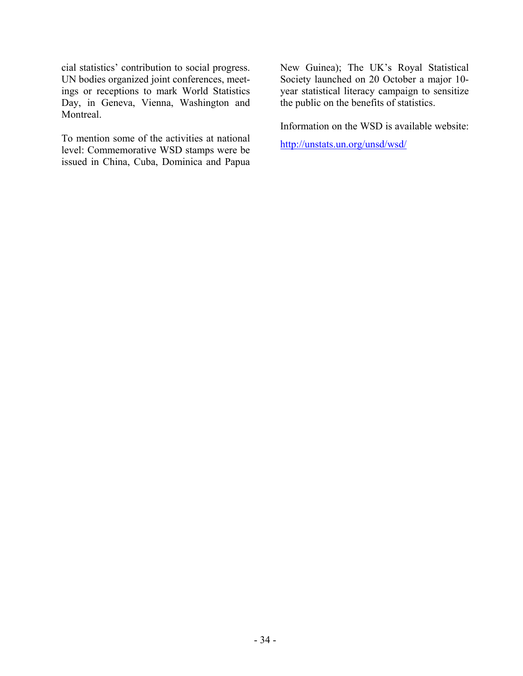cial statistics' contribution to social progress. UN bodies organized joint conferences, meetings or receptions to mark World Statistics Day, in Geneva, Vienna, Washington and Montreal.

To mention some of the activities at national level: Commemorative WSD stamps were be issued in China, Cuba, Dominica and Papua New Guinea); The UK's Royal Statistical Society launched on 20 October a major 10 year statistical literacy campaign to sensitize the public on the benefits of statistics.

Information on the WSD is available website:

http://unstats.un.org/unsd/wsd/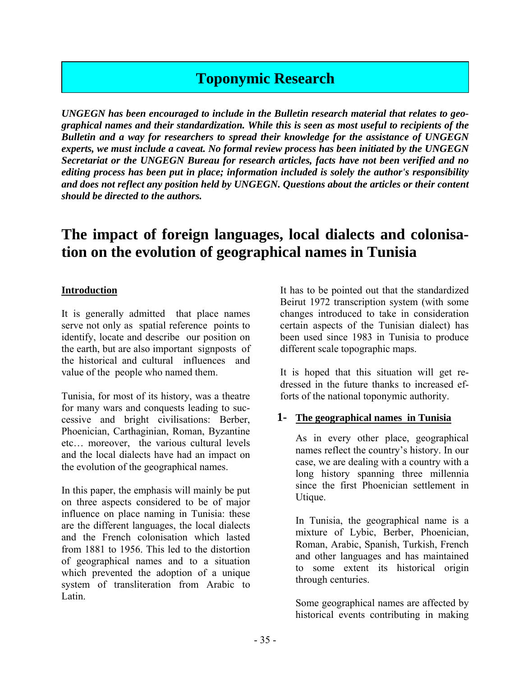# **Toponymic Research**

*UNGEGN has been encouraged to include in the Bulletin research material that relates to geographical names and their standardization. While this is seen as most useful to recipients of the Bulletin and a way for researchers to spread their knowledge for the assistance of UNGEGN experts, we must include a caveat. No formal review process has been initiated by the UNGEGN Secretariat or the UNGEGN Bureau for research articles, facts have not been verified and no editing process has been put in place; information included is solely the author's responsibility and does not reflect any position held by UNGEGN. Questions about the articles or their content should be directed to the authors.* 

# **The impact of foreign languages, local dialects and colonisation on the evolution of geographical names in Tunisia**

### **Introduction**

It is generally admitted that place names serve not only as spatial reference points to identify, locate and describe our position on the earth, but are also important signposts of the historical and cultural influences and value of the people who named them.

Tunisia, for most of its history, was a theatre for many wars and conquests leading to successive and bright civilisations: Berber, Phoenician, Carthaginian, Roman, Byzantine etc… moreover, the various cultural levels and the local dialects have had an impact on the evolution of the geographical names.

In this paper, the emphasis will mainly be put on three aspects considered to be of major influence on place naming in Tunisia: these are the different languages, the local dialects and the French colonisation which lasted from 1881 to 1956. This led to the distortion of geographical names and to a situation which prevented the adoption of a unique system of transliteration from Arabic to Latin.

It has to be pointed out that the standardized Beirut 1972 transcription system (with some changes introduced to take in consideration certain aspects of the Tunisian dialect) has been used since 1983 in Tunisia to produce different scale topographic maps.

It is hoped that this situation will get redressed in the future thanks to increased efforts of the national toponymic authority.

### **1- The geographical names in Tunisia**

As in every other place, geographical names reflect the country's history. In our case, we are dealing with a country with a long history spanning three millennia since the first Phoenician settlement in Utique.

In Tunisia, the geographical name is a mixture of Lybic, Berber, Phoenician, Roman, Arabic, Spanish, Turkish, French and other languages and has maintained to some extent its historical origin through centuries.

Some geographical names are affected by historical events contributing in making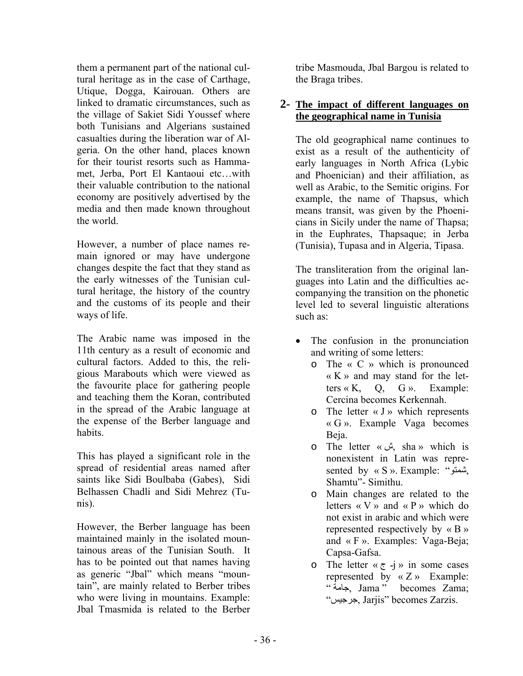them a permanent part of the national cultural heritage as in the case of Carthage, Utique, Dogga, Kairouan. Others are linked to dramatic circumstances, such as the village of Sakiet Sidi Youssef where both Tunisians and Algerians sustained casualties during the liberation war of Algeria. On the other hand, places known for their tourist resorts such as Hammamet, Jerba, Port El Kantaoui etc…with their valuable contribution to the national economy are positively advertised by the media and then made known throughout the world.

However, a number of place names remain ignored or may have undergone changes despite the fact that they stand as the early witnesses of the Tunisian cultural heritage, the history of the country and the customs of its people and their ways of life.

The Arabic name was imposed in the 11th century as a result of economic and cultural factors. Added to this, the religious Marabouts which were viewed as the favourite place for gathering people and teaching them the Koran, contributed in the spread of the Arabic language at the expense of the Berber language and habits.

This has played a significant role in the spread of residential areas named after saints like Sidi Boulbaba (Gabes), Sidi Belhassen Chadli and Sidi Mehrez (Tunis).

However, the Berber language has been maintained mainly in the isolated mountainous areas of the Tunisian South. It has to be pointed out that names having as generic "Jbal" which means "mountain", are mainly related to Berber tribes who were living in mountains. Example: Jbal Tmasmida is related to the Berber

tribe Masmouda, Jbal Bargou is related to the Braga tribes.

### **2- The impact of different languages on the geographical name in Tunisia**

The old geographical name continues to exist as a result of the authenticity of early languages in North Africa (Lybic and Phoenician) and their affiliation, as well as Arabic, to the Semitic origins. For example, the name of Thapsus, which means transit, was given by the Phoenicians in Sicily under the name of Thapsa; in the Euphrates, Thapsaque; in Jerba (Tunisia), Tupasa and in Algeria, Tipasa.

The transliteration from the original languages into Latin and the difficulties accompanying the transition on the phonetic level led to several linguistic alterations such as:

- The confusion in the pronunciation and writing of some letters:
	- o The « C » which is pronounced « K » and may stand for the letters  $\kappa$  K, Q, G ». Example: Cercina becomes Kerkennah.
	- $\circ$  The letter  $\langle$  J  $\rangle$  which represents « G ». Example Vaga becomes Beja.
	- o The letter « ش, sha » which is nonexistent in Latin was represented by « S ». Example: "شمتو, Shamtu"- Simithu.
	- o Main changes are related to the letters  $\langle \langle V \rangle \rangle$  and  $\langle \langle P \rangle \rangle$  which do not exist in arabic and which were represented respectively by « B » and « F ». Examples: Vaga-Beja; Capsa-Gafsa.
	- o The letter  $\kappa \in -j$  » in some cases represented by « Z » Example: " جامة, Jama " becomes Zama; "جرجيس, Jarjis" becomes Zarzis.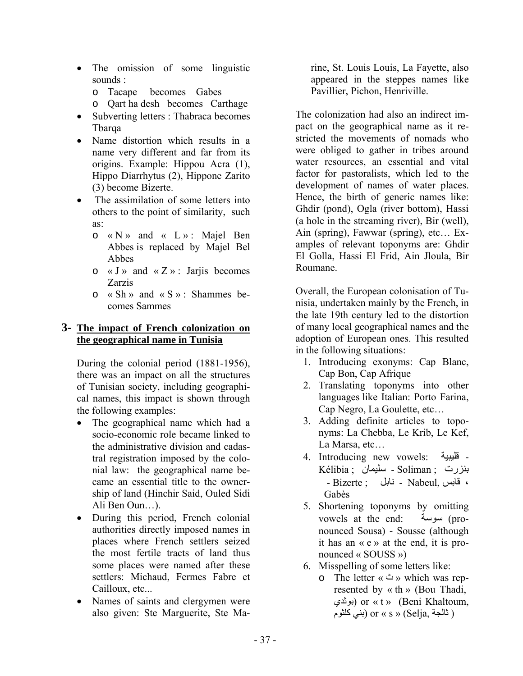- The omission of some linguistic sounds :
	- o Tacape becomes Gabes
	- o Qart ha desh becomes Carthage
- Subverting letters : Thabraca becomes Tbarqa
- Name distortion which results in a name very different and far from its origins. Example: Hippou Acra (1), Hippo Diarrhytus (2), Hippone Zarito (3) become Bizerte.
- The assimilation of some letters into others to the point of similarity, such as:
	- o « N » and « L » : Majel Ben Abbes is replaced by Majel Bel Abbes
	- $\circ$  « J » and « Z » : Jarjis becomes Zarzis
	- $\circ$  « Sh » and « S » : Shammes becomes Sammes

### **3- The impact of French colonization on the geographical name in Tunisia**

During the colonial period (1881-1956), there was an impact on all the structures of Tunisian society, including geographical names, this impact is shown through the following examples:

- The geographical name which had a socio-economic role became linked to the administrative division and cadastral registration imposed by the colonial law: the geographical name became an essential title to the ownership of land (Hinchir Said, Ouled Sidi Ali Ben Oun…).
- During this period, French colonial authorities directly imposed names in places where French settlers seized the most fertile tracts of land thus some places were named after these settlers: Michaud, Fermes Fabre et Cailloux, etc...
- Names of saints and clergymen were also given: Ste Marguerite, Ste Ma-

rine, St. Louis Louis, La Fayette, also appeared in the steppes names like Pavillier, Pichon, Henriville.

The colonization had also an indirect impact on the geographical name as it restricted the movements of nomads who were obliged to gather in tribes around water resources, an essential and vital factor for pastoralists, which led to the development of names of water places. Hence, the birth of generic names like: Ghdir (pond), Ogla (river bottom), Hassi (a hole in the streaming river), Bir (well), Ain (spring), Fawwar (spring), etc… Examples of relevant toponyms are: Ghdir El Golla, Hassi El Frid, Ain Jloula, Bir Roumane.

Overall, the European colonisation of Tunisia, undertaken mainly by the French, in the late 19th century led to the distortion of many local geographical names and the adoption of European ones. This resulted in the following situations:

- 1. Introducing exonyms: Cap Blanc, Cap Bon, Cap Afrique
- 2. Translating toponyms into other languages like Italian: Porto Farina, Cap Negro, La Goulette, etc…
- 3. Adding definite articles to toponyms: La Chebba, Le Krib, Le Kef, La Marsa, etc…
- 4. Introducing new vowels: قليبية بنزرت ; Soliman - سليمان ; Kélibia ، قابس ,Nabeul - نابل ; Bizerte - Gabès
- 5. Shortening toponyms by omitting vowels at the end: سوسة) pronounced Sousa) - Sousse (although it has an « e » at the end, it is pronounced « SOUSS »)
- 6. Misspelling of some letters like:
	- o The letter « ث « which was represented by « th » (Bou Thadi, بوثدي (or « t » (Beni Khaltoum, ( ثالجة ,Selja » (s « or) بني آلثوم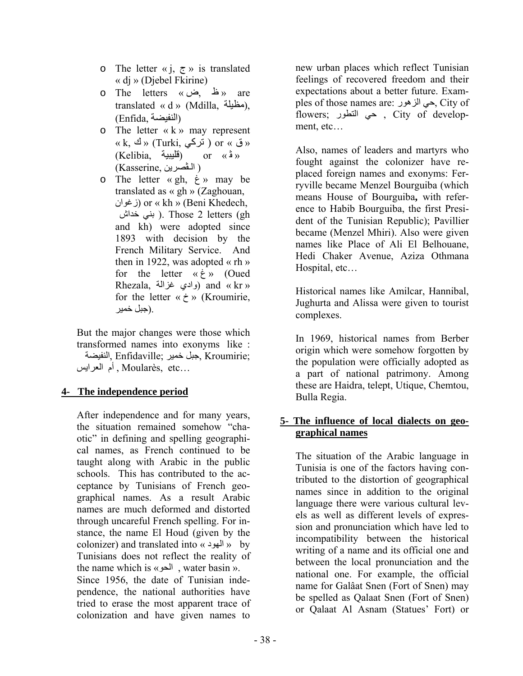- o The letter « j,  $\zeta$  » is translated « dj » (Djebel Fkirine)
- o The letters « ض, ظ « are translated « d » (Mdilla, مظيلة), (النفيضة ,Enfida(
- $\circ$  The letter « k » may represent  $\alpha$  k, ق » (Turki, ق ) or  $\alpha$  ق »  $(Kelibia, \quad \text{if } \alpha \in \mathbb{R}^n \times \mathbb{R}^n$  or  $\alpha \in \mathbb{R}^n$ ( الـڤصرين ,Kasserine(
- o The letter « gh, غ « may be translated as « gh » (Zaghouan, زغوان (or « kh » (Beni Khedech, خداش بني( . Those 2 letters (gh and kh) were adopted since 1893 with decision by the French Military Service. And then in 1922, was adopted « rh » for the letter « غ) « Oued Rhezala, وادي غزالة) and « kr » for the letter  $\langle \times \rangle$  (Kroumirie, .(جبل خمير

But the major changes were those which transformed names into exonyms like : ;Kroumirie ,جبل خمير ;Enfidaville ,النفيضة ...etc ,Moularès , أم العرايس

### **4- The independence period**

After independence and for many years, the situation remained somehow "chaotic" in defining and spelling geographical names, as French continued to be taught along with Arabic in the public schools. This has contributed to the acceptance by Tunisians of French geographical names. As a result Arabic names are much deformed and distorted through uncareful French spelling. For instance, the name El Houd (given by the colonizer) and translated into « الهود « by Tunisians does not reflect the reality of the name which is «الحو , water basin ». Since 1956, the date of Tunisian independence, the national authorities have tried to erase the most apparent trace of colonization and have given names to

new urban places which reflect Tunisian feelings of recovered freedom and their expectations about a better future. Examples of those names are: الزهور حي, City of flowers; التطور حي , City of development, etc…

Also, names of leaders and martyrs who fought against the colonizer have replaced foreign names and exonyms: Ferryville became Menzel Bourguiba (which means House of Bourguiba**,** with reference to Habib Bourguiba, the first President of the Tunisian Republic); Pavillier became (Menzel Mhiri). Also were given names like Place of Ali El Belhouane, Hedi Chaker Avenue, Aziza Othmana Hospital, etc…

Historical names like Amilcar, Hannibal, Jughurta and Alissa were given to tourist complexes.

In 1969, historical names from Berber origin which were somehow forgotten by the population were officially adopted as a part of national patrimony. Among these are Haidra, telept, Utique, Chemtou, Bulla Regia.

### **5- The influence of local dialects on geographical names**

The situation of the Arabic language in Tunisia is one of the factors having contributed to the distortion of geographical names since in addition to the original language there were various cultural levels as well as different levels of expression and pronunciation which have led to incompatibility between the historical writing of a name and its official one and between the local pronunciation and the national one. For example, the official name for Galâat Snen (Fort of Snen) may be spelled as Qalaat Snen (Fort of Snen) or Qalaat Al Asnam (Statues' Fort) or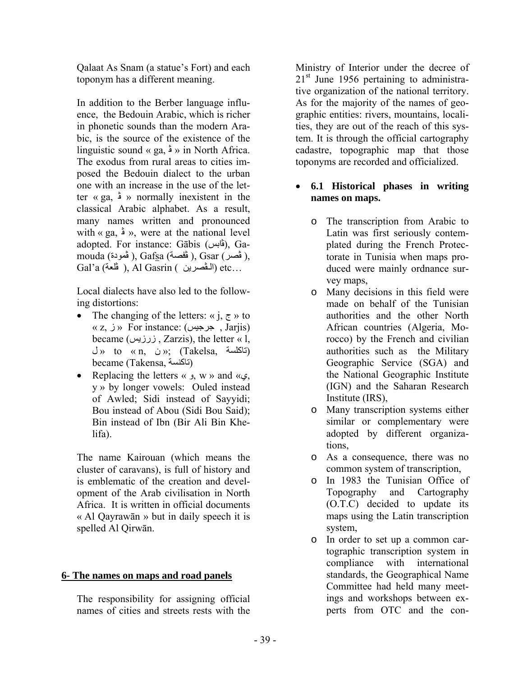Qalaat As Snam (a statue's Fort) and each toponym has a different meaning.

In addition to the Berber language influence, the Bedouin Arabic, which is richer in phonetic sounds than the modern Arabic, is the source of the existence of the linguistic sound « ga, ڤ « in North Africa. The exodus from rural areas to cities imposed the Bedouin dialect to the urban one with an increase in the use of the letter « ga, ڤ « normally inexistent in the classical Arabic alphabet. As a result, many names written and pronounced with « ga,  $\dot{\bullet}$  », were at the national level adopted. For instance: Gābis (ڤابس), Gamouda (قصر), Gafsa (ڤفصة), Gsar ( , فصر), Gal'a ( ألـڤصرين ), Al Gasrin ( الـڤصرين) etc…

Local dialects have also led to the following distortions:

- The changing of the letters:  $\langle \alpha \rangle$   $\zeta$   $\gamma$  to « z, جرجيس ) For instance: (جرجيس , Jarjis) became (زرزيس , Zarzis), the letter « l,  $\cup$  » to « n,  $\cup$  »; (Takelsa, (تاكلسة) became (Takensa, تاكنسة)
- Replacing the letters « و, w » and «ي, y » by longer vowels: Ouled instead of Awled; Sidi instead of Sayyidi; Bou instead of Abou (Sidi Bou Said); Bin instead of Ibn (Bir Ali Bin Khelifa).

The name Kairouan (which means the cluster of caravans), is full of history and is emblematic of the creation and development of the Arab civilisation in North Africa. It is written in official documents « Al Qayrawān » but in daily speech it is spelled Al Qirwān.

### **6- The names on maps and road panels**

The responsibility for assigning official names of cities and streets rests with the

Ministry of Interior under the decree of  $21<sup>st</sup>$  June 1956 pertaining to administrative organization of the national territory. As for the majority of the names of geographic entities: rivers, mountains, localities, they are out of the reach of this system. It is through the official cartography cadastre, topographic map that those toponyms are recorded and officialized.

### **6.1 Historical phases in writing names on maps.**

- o The transcription from Arabic to Latin was first seriously contemplated during the French Protectorate in Tunisia when maps produced were mainly ordnance survey maps,
- o Many decisions in this field were made on behalf of the Tunisian authorities and the other North African countries (Algeria, Morocco) by the French and civilian authorities such as the Military Geographic Service (SGA) and the National Geographic Institute (IGN) and the Saharan Research Institute (IRS),
- o Many transcription systems either similar or complementary were adopted by different organizations,
- o As a consequence, there was no common system of transcription,
- o In 1983 the Tunisian Office of Topography and Cartography (O.T.C) decided to update its maps using the Latin transcription system,
- o In order to set up a common cartographic transcription system in compliance with international standards, the Geographical Name Committee had held many meetings and workshops between experts from OTC and the con-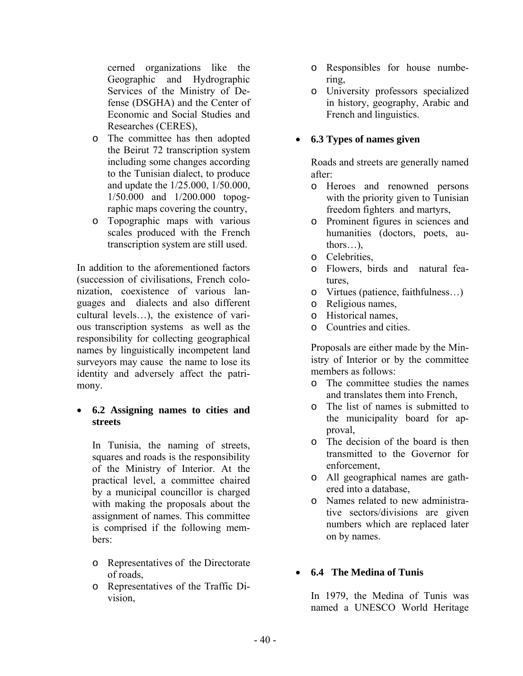cerned organizations like the Geographic and Hydrographic Services of the Ministry of Defense (DSGHA) and the Center of Economic and Social Studies and Researches (CERES),

- o The committee has then adopted the Beirut 72 transcription system including some changes according to the Tunisian dialect, to produce and update the 1/25.000, 1/50.000, 1/50.000 and 1/200.000 topographic maps covering the country,
- o Topographic maps with various scales produced with the French transcription system are still used.

In addition to the aforementioned factors (succession of civilisations, French colonization, coexistence of various languages and dialects and also different cultural levels…), the existence of various transcription systems as well as the responsibility for collecting geographical names by linguistically incompetent land surveyors may cause the name to lose its identity and adversely affect the patrimony.

### **6.2 Assigning names to cities and streets**

In Tunisia, the naming of streets, squares and roads is the responsibility of the Ministry of Interior. At the practical level, a committee chaired by a municipal councillor is charged with making the proposals about the assignment of names. This committee is comprised if the following members:

- o Representatives of the Directorate of roads,
- o Representatives of the Traffic Division,
- o Responsibles for house numbering,
- o University professors specialized in history, geography, Arabic and French and linguistics.

### **6.3 Types of names given**

Roads and streets are generally named after:

- o Heroes and renowned persons with the priority given to Tunisian freedom fighters and martyrs,
- o Prominent figures in sciences and humanities (doctors, poets, authors…),
- o Celebrities,
- o Flowers, birds and natural features,
- o Virtues (patience, faithfulness…)
- o Religious names,
- o Historical names,
- o Countries and cities.

Proposals are either made by the Ministry of Interior or by the committee members as follows:

- o The committee studies the names and translates them into French,
- o The list of names is submitted to the municipality board for approval,
- o The decision of the board is then transmitted to the Governor for enforcement,
- o All geographical names are gathered into a database,
- o Names related to new administrative sectors/divisions are given numbers which are replaced later on by names.

### **6.4 The Medina of Tunis**

In 1979, the Medina of Tunis was named a UNESCO World Heritage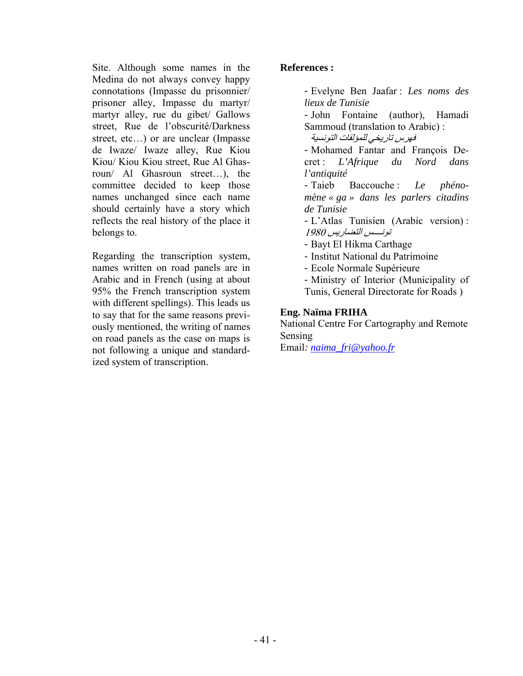Site. Although some names in the Medina do not always convey happy connotations (Impasse du prisonnier/ prisoner alley, Impasse du martyr/ martyr alley, rue du gibet/ Gallows street, Rue de l'obscurité/Darkness street, etc…) or are unclear (Impasse de Iwaze/ Iwaze alley, Rue Kiou Kiou/ Kiou Kiou street, Rue Al Ghasroun/ Al Ghasroun street…), the committee decided to keep those names unchanged since each name should certainly have a story which reflects the real history of the place it belongs to.

Regarding the transcription system, names written on road panels are in Arabic and in French (using at about 95% the French transcription system with different spellings). This leads us to say that for the same reasons previously mentioned, the writing of names on road panels as the case on maps is not following a unique and standardized system of transcription.

### **References :**

- Evelyne Ben Jaafar : *Les noms des lieux de Tunisie*

- John Fontaine (author), Hamadi Sammoud (translation to Arabic) :

فهرس تاريخي للمؤلفات التونسية

- Mohamed Fantar and François Decret : *L'Afrique du Nord dans l'antiquité* 

- Taieb Baccouche : *Le phénomène « ga » dans les parlers citadins de Tunisie*

- L'Atlas Tunisien (Arabic version) : تونــــس التضاريس 1980

- Bayt El Hikma Carthage

- Institut National du Patrimoine
- Ecole Normale Supérieure

- Ministry of Interior (Municipality of Tunis, General Directorate for Roads )

### **Eng. Naïma FRIHA**

National Centre For Cartography and Remote Sensing

Email*: naima\_fri@yahoo.fr*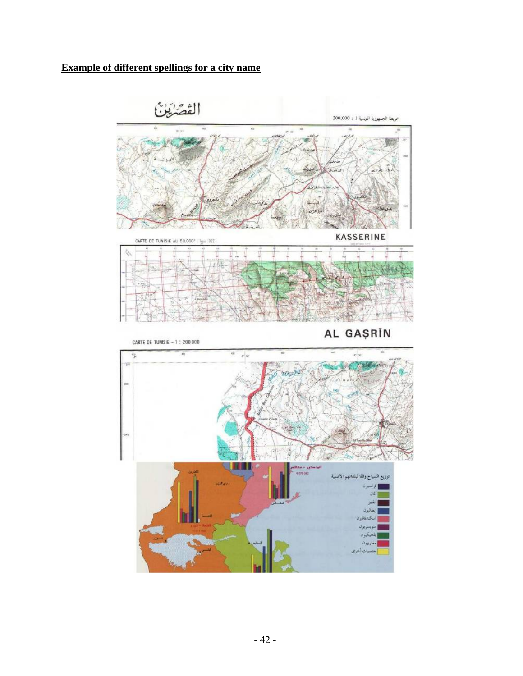### **Example of different spellings for a city name**

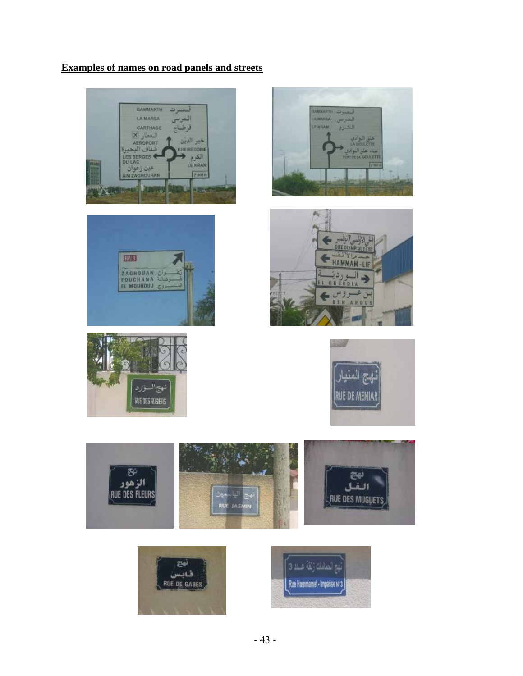### **Examples of names on road panels and streets**















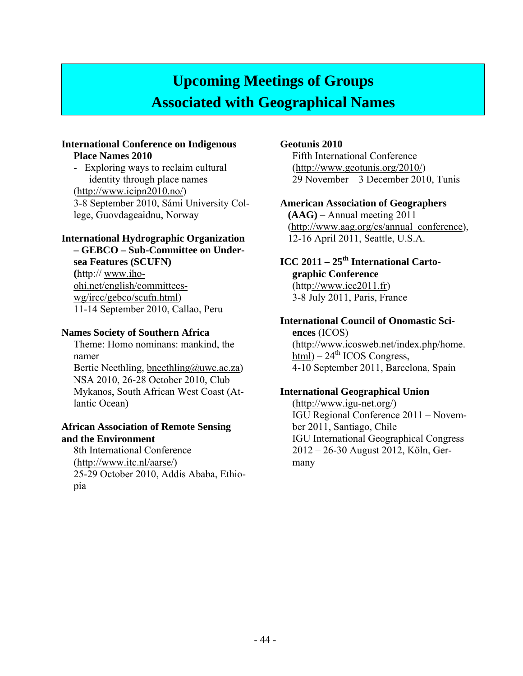# **Upcoming Meetings of Groups Associated with Geographical Names**

#### **International Conference on Indigenous Place Names 2010**

- Exploring ways to reclaim cultural identity through place names (http://www.icipn2010.no/) 3-8 September 2010, Sámi University College, Guovdageaidnu, Norway

### **International Hydrographic Organization**

**– GEBCO – Sub-Committee on Undersea Features (SCUFN) (**http:// www.ihoohi.net/english/committeeswg/ircc/gebco/scufn.html) 11-14 September 2010, Callao, Peru

#### **Names Society of Southern Africa**

Theme: Homo nominans: mankind, the namer Bertie Neethling, bneethling@uwc.ac.za) NSA 2010, 26-28 October 2010, Club Mykanos, South African West Coast (Atlantic Ocean)

#### **African Association of Remote Sensing and the Environment**

8th International Conference (http://www.itc.nl/aarse/) 25-29 October 2010, Addis Ababa, Ethiopia

### **Geotunis 2010**

Fifth International Conference (http://www.geotunis.org/2010/) 29 November – 3 December 2010, Tunis

### **American Association of Geographers**

**(AAG)** – Annual meeting 2011 (http://www.aag.org/cs/annual\_conference), 12-16 April 2011, Seattle, U.S.A.

### **ICC 2011 – 25th International Cartographic Conference**

 $(http://www.ice2011.fr)$ 3-8 July 2011, Paris, France

# **International Council of Onomastic Sci-**

**ences** (ICOS) (http://www.icosweb.net/index.php/home.  $\overline{\text{html}}$ ) – 24<sup>th</sup> ICOS Congress, 4-10 September 2011, Barcelona, Spain

### **International Geographical Union**

(http://www.igu-net.org/) IGU Regional Conference 2011 – November 2011, Santiago, Chile IGU International Geographical Congress 2012 – 26-30 August 2012, Köln, Germany